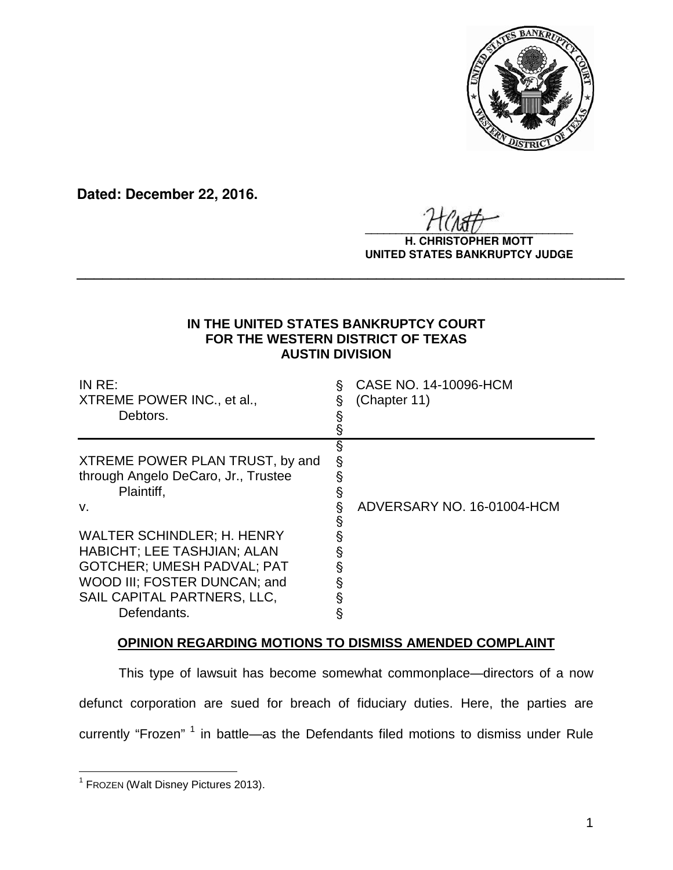

**Dated: December 22, 2016.**

 $\frac{1}{2}$ 

**H. CHRISTOPHER MOTT UNITED STATES BANKRUPTCY JUDGE**

## **IN THE UNITED STATES BANKRUPTCY COURT FOR THE WESTERN DISTRICT OF TEXAS AUSTIN DIVISION**

**\_\_\_\_\_\_\_\_\_\_\_\_\_\_\_\_\_\_\_\_\_\_\_\_\_\_\_\_\_\_\_\_\_\_\_\_\_\_\_\_\_\_\_\_\_\_\_\_\_\_\_\_\_\_\_\_\_\_\_\_\_\_\_\_**

| INRE:<br>XTREME POWER INC., et al.,<br>Debtors.                                                                                                                                                                                                                                          | ş<br>§                     | CASE NO. 14-10096-HCM<br>(Chapter 11) |
|------------------------------------------------------------------------------------------------------------------------------------------------------------------------------------------------------------------------------------------------------------------------------------------|----------------------------|---------------------------------------|
| XTREME POWER PLAN TRUST, by and<br>through Angelo DeCaro, Jr., Trustee<br>Plaintiff,<br>v.<br><b>WALTER SCHINDLER; H. HENRY</b><br><b>HABICHT; LEE TASHJIAN; ALAN</b><br><b>GOTCHER: UMESH PADVAL: PAT</b><br>WOOD III; FOSTER DUNCAN; and<br>SAIL CAPITAL PARTNERS, LLC,<br>Defendants. | §<br>S<br>S<br>§<br>§<br>§ | ADVERSARY NO. 16-01004-HCM            |

# **OPINION REGARDING MOTIONS TO DISMISS AMENDED COMPLAINT**

This type of lawsuit has become somewhat commonplace—directors of a now defunct corporation are sued for breach of fiduciary duties. Here, the parties are currently "Frozen" <sup>1</sup> in battle—as the Defendants filed motions to dismiss under Rule

 1 FROZEN (Walt Disney Pictures 2013).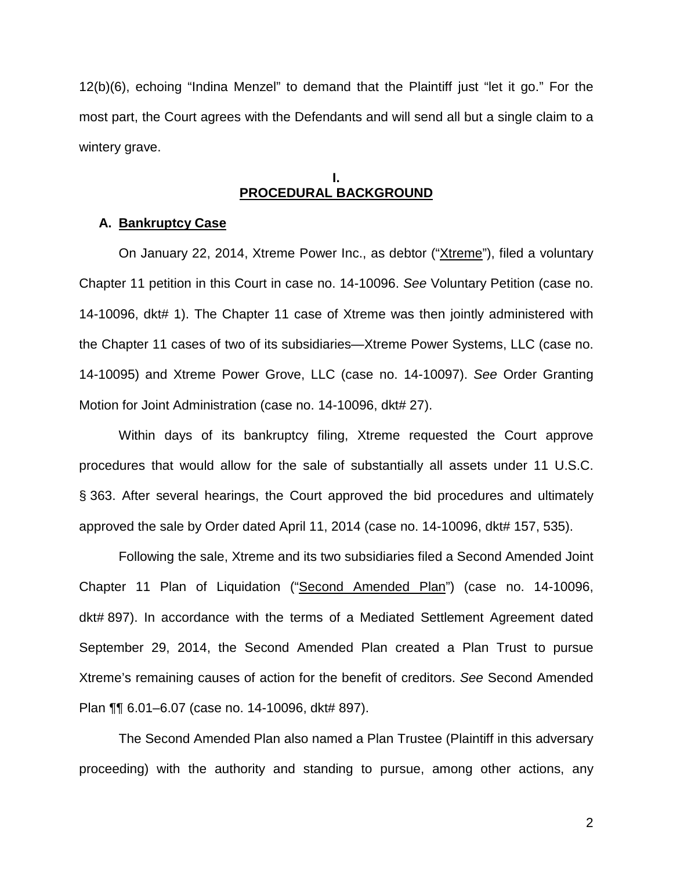12(b)(6), echoing "Indina Menzel" to demand that the Plaintiff just "let it go." For the most part, the Court agrees with the Defendants and will send all but a single claim to a wintery grave.

## **I. PROCEDURAL BACKGROUND**

### **A. Bankruptcy Case**

On January 22, 2014, Xtreme Power Inc., as debtor ("Xtreme"), filed a voluntary Chapter 11 petition in this Court in case no. 14-10096. *See* Voluntary Petition (case no. 14-10096, dkt# 1). The Chapter 11 case of Xtreme was then jointly administered with the Chapter 11 cases of two of its subsidiaries—Xtreme Power Systems, LLC (case no. 14-10095) and Xtreme Power Grove, LLC (case no. 14-10097). *See* Order Granting Motion for Joint Administration (case no. 14-10096, dkt# 27).

Within days of its bankruptcy filing, Xtreme requested the Court approve procedures that would allow for the sale of substantially all assets under 11 U.S.C. § 363. After several hearings, the Court approved the bid procedures and ultimately approved the sale by Order dated April 11, 2014 (case no. 14-10096, dkt# 157, 535).

Following the sale, Xtreme and its two subsidiaries filed a Second Amended Joint Chapter 11 Plan of Liquidation ("Second Amended Plan") (case no. 14-10096, dkt# 897). In accordance with the terms of a Mediated Settlement Agreement dated September 29, 2014, the Second Amended Plan created a Plan Trust to pursue Xtreme's remaining causes of action for the benefit of creditors. *See* Second Amended Plan ¶¶ 6.01–6.07 (case no. 14-10096, dkt# 897).

The Second Amended Plan also named a Plan Trustee (Plaintiff in this adversary proceeding) with the authority and standing to pursue, among other actions, any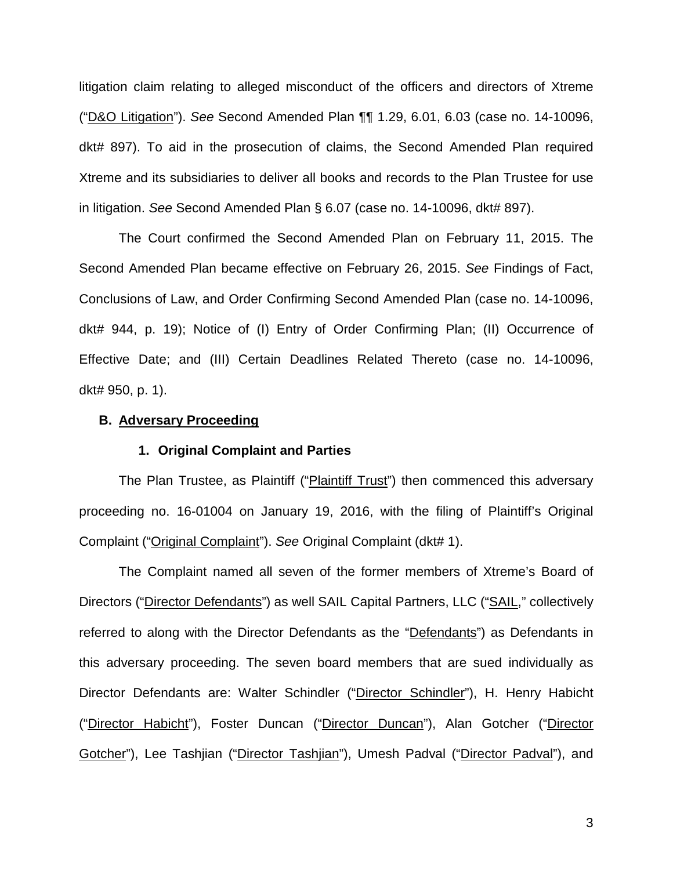litigation claim relating to alleged misconduct of the officers and directors of Xtreme ("D&O Litigation"). *See* Second Amended Plan ¶¶ 1.29, 6.01, 6.03 (case no. 14-10096, dkt# 897). To aid in the prosecution of claims, the Second Amended Plan required Xtreme and its subsidiaries to deliver all books and records to the Plan Trustee for use in litigation. *See* Second Amended Plan § 6.07 (case no. 14-10096, dkt# 897).

The Court confirmed the Second Amended Plan on February 11, 2015. The Second Amended Plan became effective on February 26, 2015. *See* Findings of Fact, Conclusions of Law, and Order Confirming Second Amended Plan (case no. 14-10096, dkt# 944, p. 19); Notice of (I) Entry of Order Confirming Plan; (II) Occurrence of Effective Date; and (III) Certain Deadlines Related Thereto (case no. 14-10096, dkt# 950, p. 1).

### **B. Adversary Proceeding**

#### **1. Original Complaint and Parties**

The Plan Trustee, as Plaintiff ("Plaintiff Trust") then commenced this adversary proceeding no. 16-01004 on January 19, 2016, with the filing of Plaintiff's Original Complaint ("Original Complaint"). *See* Original Complaint (dkt# 1).

The Complaint named all seven of the former members of Xtreme's Board of Directors ("Director Defendants") as well SAIL Capital Partners, LLC ("SAIL," collectively referred to along with the Director Defendants as the "Defendants") as Defendants in this adversary proceeding. The seven board members that are sued individually as Director Defendants are: Walter Schindler ("Director Schindler"), H. Henry Habicht ("Director Habicht"), Foster Duncan ("Director Duncan"), Alan Gotcher ("Director Gotcher"), Lee Tashjian ("Director Tashjian"), Umesh Padval ("Director Padval"), and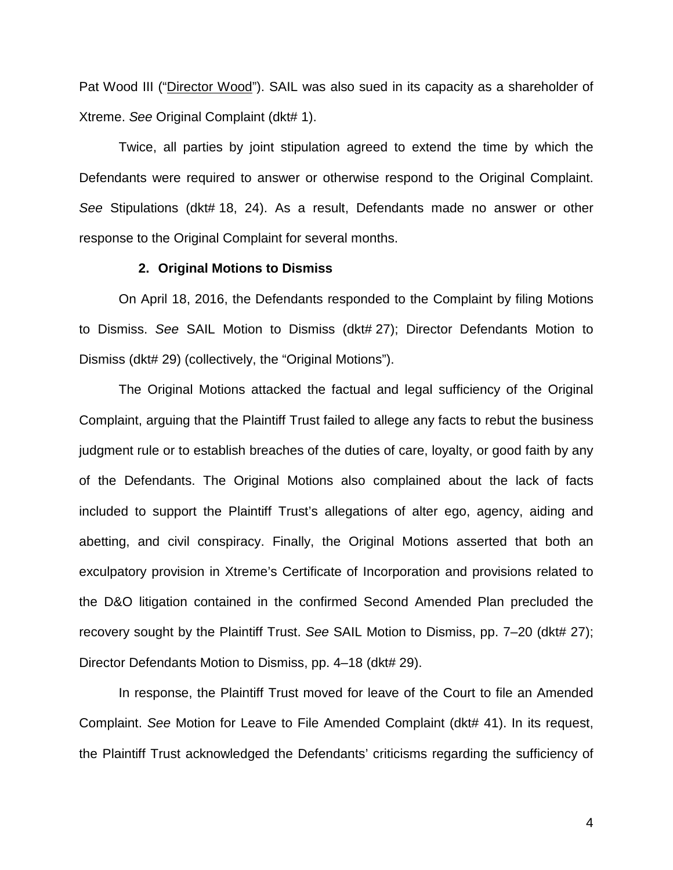Pat Wood III ("Director Wood"). SAIL was also sued in its capacity as a shareholder of Xtreme. *See* Original Complaint (dkt# 1).

Twice, all parties by joint stipulation agreed to extend the time by which the Defendants were required to answer or otherwise respond to the Original Complaint. *See* Stipulations (dkt# 18, 24). As a result, Defendants made no answer or other response to the Original Complaint for several months.

### **2. Original Motions to Dismiss**

 On April 18, 2016, the Defendants responded to the Complaint by filing Motions to Dismiss. *See* SAIL Motion to Dismiss (dkt# 27); Director Defendants Motion to Dismiss (dkt# 29) (collectively, the "Original Motions").

The Original Motions attacked the factual and legal sufficiency of the Original Complaint, arguing that the Plaintiff Trust failed to allege any facts to rebut the business judgment rule or to establish breaches of the duties of care, loyalty, or good faith by any of the Defendants. The Original Motions also complained about the lack of facts included to support the Plaintiff Trust's allegations of alter ego, agency, aiding and abetting, and civil conspiracy. Finally, the Original Motions asserted that both an exculpatory provision in Xtreme's Certificate of Incorporation and provisions related to the D&O litigation contained in the confirmed Second Amended Plan precluded the recovery sought by the Plaintiff Trust. *See* SAIL Motion to Dismiss, pp. 7–20 (dkt# 27); Director Defendants Motion to Dismiss, pp. 4–18 (dkt# 29).

In response, the Plaintiff Trust moved for leave of the Court to file an Amended Complaint. *See* Motion for Leave to File Amended Complaint (dkt# 41). In its request, the Plaintiff Trust acknowledged the Defendants' criticisms regarding the sufficiency of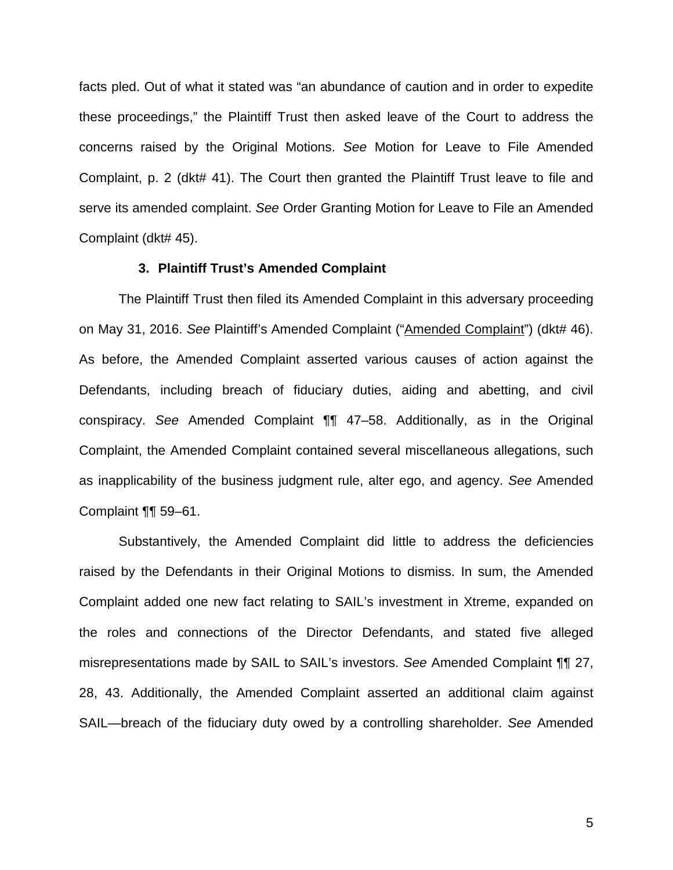facts pled. Out of what it stated was "an abundance of caution and in order to expedite these proceedings," the Plaintiff Trust then asked leave of the Court to address the concerns raised by the Original Motions. *See* Motion for Leave to File Amended Complaint, p. 2 (dkt# 41). The Court then granted the Plaintiff Trust leave to file and serve its amended complaint. *See* Order Granting Motion for Leave to File an Amended Complaint (dkt# 45).

## **3. Plaintiff Trust's Amended Complaint**

The Plaintiff Trust then filed its Amended Complaint in this adversary proceeding on May 31, 2016. *See* Plaintiff's Amended Complaint ("Amended Complaint") (dkt# 46). As before, the Amended Complaint asserted various causes of action against the Defendants, including breach of fiduciary duties, aiding and abetting, and civil conspiracy. *See* Amended Complaint ¶¶ 47–58. Additionally, as in the Original Complaint, the Amended Complaint contained several miscellaneous allegations, such as inapplicability of the business judgment rule, alter ego, and agency. *See* Amended Complaint ¶¶ 59–61.

Substantively, the Amended Complaint did little to address the deficiencies raised by the Defendants in their Original Motions to dismiss. In sum, the Amended Complaint added one new fact relating to SAIL's investment in Xtreme, expanded on the roles and connections of the Director Defendants, and stated five alleged misrepresentations made by SAIL to SAIL's investors. *See* Amended Complaint ¶¶ 27, 28, 43. Additionally, the Amended Complaint asserted an additional claim against SAIL—breach of the fiduciary duty owed by a controlling shareholder. *See* Amended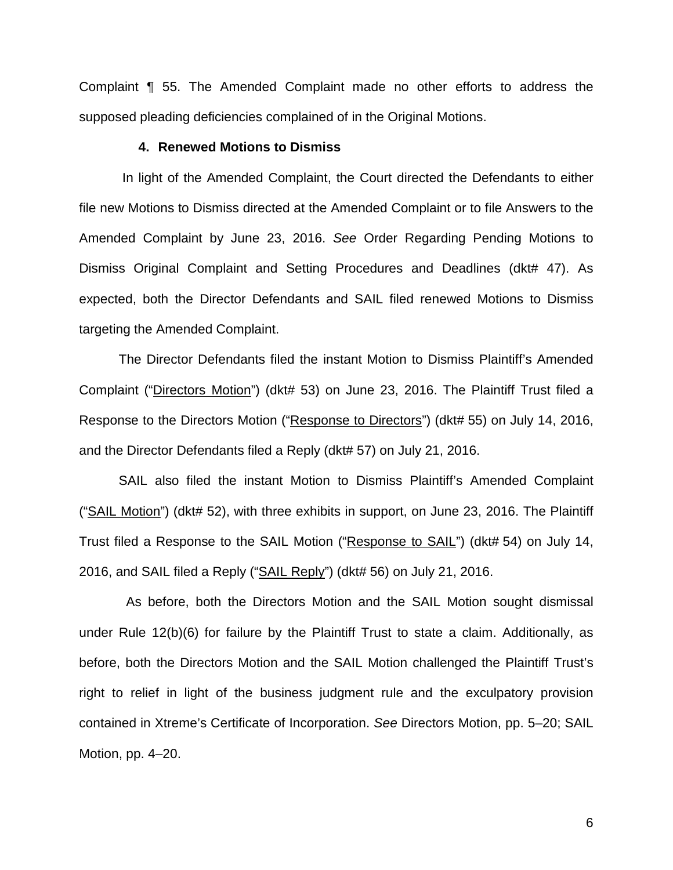Complaint ¶ 55. The Amended Complaint made no other efforts to address the supposed pleading deficiencies complained of in the Original Motions.

## **4. Renewed Motions to Dismiss**

In light of the Amended Complaint, the Court directed the Defendants to either file new Motions to Dismiss directed at the Amended Complaint or to file Answers to the Amended Complaint by June 23, 2016. *See* Order Regarding Pending Motions to Dismiss Original Complaint and Setting Procedures and Deadlines (dkt# 47). As expected, both the Director Defendants and SAIL filed renewed Motions to Dismiss targeting the Amended Complaint.

 The Director Defendants filed the instant Motion to Dismiss Plaintiff's Amended Complaint ("Directors Motion") (dkt# 53) on June 23, 2016. The Plaintiff Trust filed a Response to the Directors Motion ("Response to Directors") (dkt# 55) on July 14, 2016, and the Director Defendants filed a Reply (dkt# 57) on July 21, 2016.

SAIL also filed the instant Motion to Dismiss Plaintiff's Amended Complaint ("SAIL Motion") (dkt# 52), with three exhibits in support, on June 23, 2016. The Plaintiff Trust filed a Response to the SAIL Motion ("Response to SAIL") (dkt# 54) on July 14, 2016, and SAIL filed a Reply ("SAIL Reply") (dkt# 56) on July 21, 2016.

 As before, both the Directors Motion and the SAIL Motion sought dismissal under Rule 12(b)(6) for failure by the Plaintiff Trust to state a claim. Additionally, as before, both the Directors Motion and the SAIL Motion challenged the Plaintiff Trust's right to relief in light of the business judgment rule and the exculpatory provision contained in Xtreme's Certificate of Incorporation. *See* Directors Motion, pp. 5–20; SAIL Motion, pp. 4–20.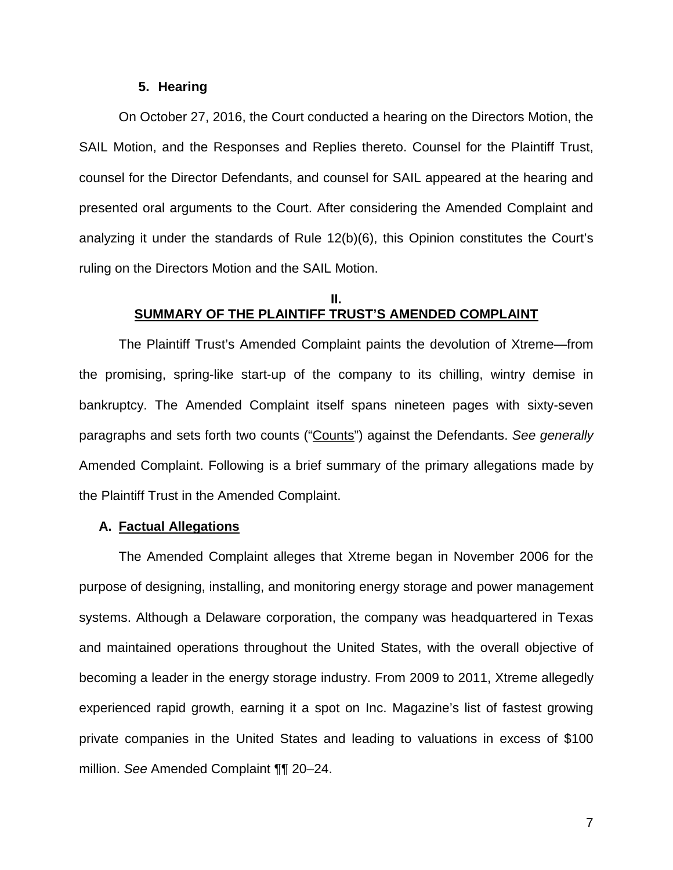#### **5. Hearing**

On October 27, 2016, the Court conducted a hearing on the Directors Motion, the SAIL Motion, and the Responses and Replies thereto. Counsel for the Plaintiff Trust, counsel for the Director Defendants, and counsel for SAIL appeared at the hearing and presented oral arguments to the Court. After considering the Amended Complaint and analyzing it under the standards of Rule 12(b)(6), this Opinion constitutes the Court's ruling on the Directors Motion and the SAIL Motion.

## **II. SUMMARY OF THE PLAINTIFF TRUST'S AMENDED COMPLAINT**

The Plaintiff Trust's Amended Complaint paints the devolution of Xtreme—from the promising, spring-like start-up of the company to its chilling, wintry demise in bankruptcy. The Amended Complaint itself spans nineteen pages with sixty-seven paragraphs and sets forth two counts ("Counts") against the Defendants. *See generally*  Amended Complaint. Following is a brief summary of the primary allegations made by the Plaintiff Trust in the Amended Complaint.

## **A. Factual Allegations**

The Amended Complaint alleges that Xtreme began in November 2006 for the purpose of designing, installing, and monitoring energy storage and power management systems. Although a Delaware corporation, the company was headquartered in Texas and maintained operations throughout the United States, with the overall objective of becoming a leader in the energy storage industry. From 2009 to 2011, Xtreme allegedly experienced rapid growth, earning it a spot on Inc. Magazine's list of fastest growing private companies in the United States and leading to valuations in excess of \$100 million. *See* Amended Complaint ¶¶ 20–24.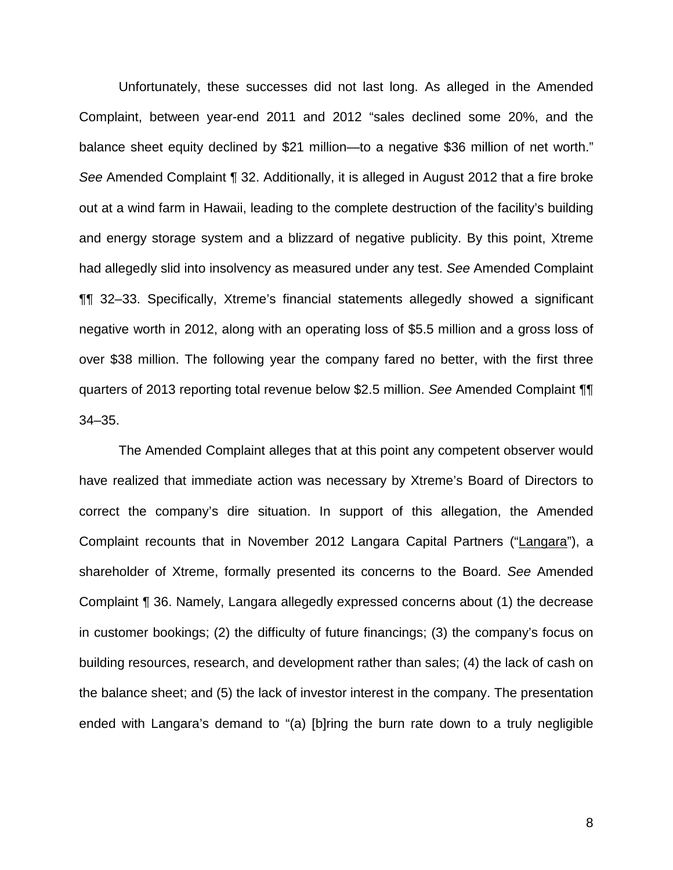Unfortunately, these successes did not last long. As alleged in the Amended Complaint, between year-end 2011 and 2012 "sales declined some 20%, and the balance sheet equity declined by \$21 million—to a negative \$36 million of net worth." *See* Amended Complaint ¶ 32. Additionally, it is alleged in August 2012 that a fire broke out at a wind farm in Hawaii, leading to the complete destruction of the facility's building and energy storage system and a blizzard of negative publicity. By this point, Xtreme had allegedly slid into insolvency as measured under any test. *See* Amended Complaint ¶¶ 32–33. Specifically, Xtreme's financial statements allegedly showed a significant negative worth in 2012, along with an operating loss of \$5.5 million and a gross loss of over \$38 million. The following year the company fared no better, with the first three quarters of 2013 reporting total revenue below \$2.5 million. *See* Amended Complaint ¶¶ 34–35.

The Amended Complaint alleges that at this point any competent observer would have realized that immediate action was necessary by Xtreme's Board of Directors to correct the company's dire situation. In support of this allegation, the Amended Complaint recounts that in November 2012 Langara Capital Partners ("Langara"), a shareholder of Xtreme, formally presented its concerns to the Board. *See* Amended Complaint ¶ 36. Namely, Langara allegedly expressed concerns about (1) the decrease in customer bookings; (2) the difficulty of future financings; (3) the company's focus on building resources, research, and development rather than sales; (4) the lack of cash on the balance sheet; and (5) the lack of investor interest in the company. The presentation ended with Langara's demand to "(a) [b]ring the burn rate down to a truly negligible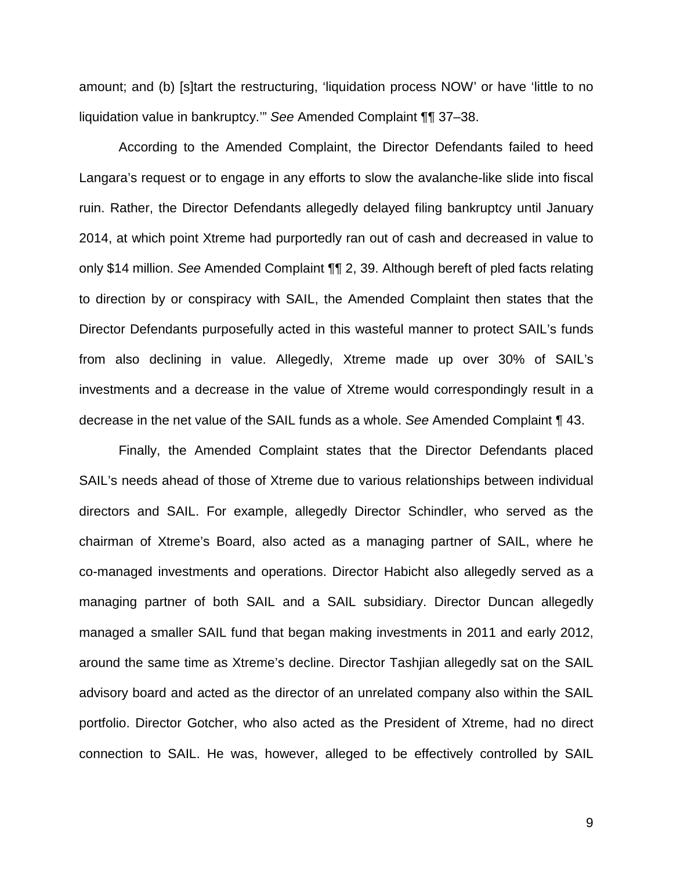amount; and (b) [s]tart the restructuring, 'liquidation process NOW' or have 'little to no liquidation value in bankruptcy.'" *See* Amended Complaint ¶¶ 37–38.

According to the Amended Complaint, the Director Defendants failed to heed Langara's request or to engage in any efforts to slow the avalanche-like slide into fiscal ruin. Rather, the Director Defendants allegedly delayed filing bankruptcy until January 2014, at which point Xtreme had purportedly ran out of cash and decreased in value to only \$14 million. *See* Amended Complaint ¶¶ 2, 39. Although bereft of pled facts relating to direction by or conspiracy with SAIL, the Amended Complaint then states that the Director Defendants purposefully acted in this wasteful manner to protect SAIL's funds from also declining in value. Allegedly, Xtreme made up over 30% of SAIL's investments and a decrease in the value of Xtreme would correspondingly result in a decrease in the net value of the SAIL funds as a whole. *See* Amended Complaint ¶ 43.

Finally, the Amended Complaint states that the Director Defendants placed SAIL's needs ahead of those of Xtreme due to various relationships between individual directors and SAIL. For example, allegedly Director Schindler, who served as the chairman of Xtreme's Board, also acted as a managing partner of SAIL, where he co-managed investments and operations. Director Habicht also allegedly served as a managing partner of both SAIL and a SAIL subsidiary. Director Duncan allegedly managed a smaller SAIL fund that began making investments in 2011 and early 2012, around the same time as Xtreme's decline. Director Tashjian allegedly sat on the SAIL advisory board and acted as the director of an unrelated company also within the SAIL portfolio. Director Gotcher, who also acted as the President of Xtreme, had no direct connection to SAIL. He was, however, alleged to be effectively controlled by SAIL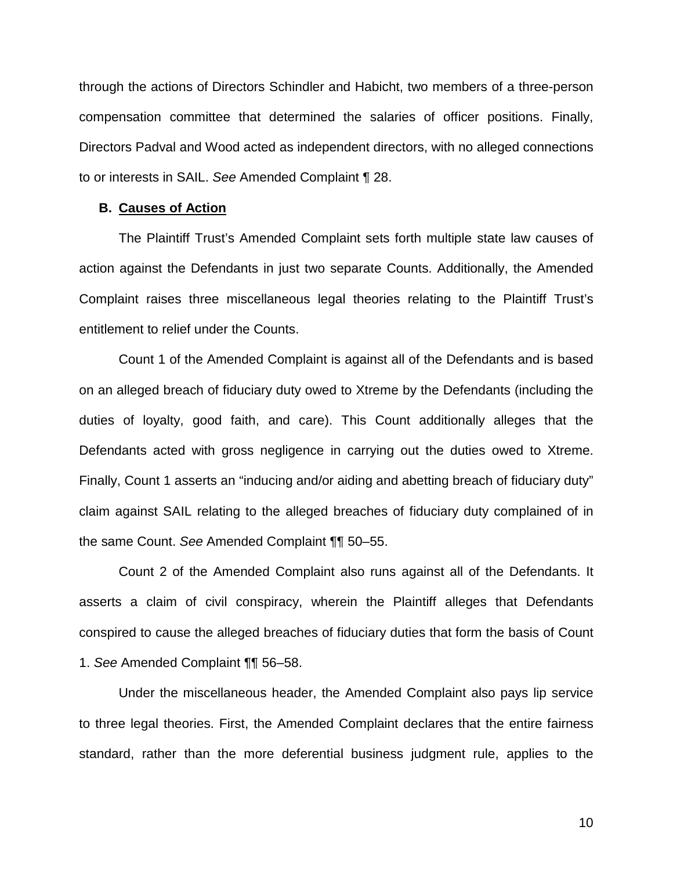through the actions of Directors Schindler and Habicht, two members of a three-person compensation committee that determined the salaries of officer positions. Finally, Directors Padval and Wood acted as independent directors, with no alleged connections to or interests in SAIL. *See* Amended Complaint ¶ 28.

### **B. Causes of Action**

The Plaintiff Trust's Amended Complaint sets forth multiple state law causes of action against the Defendants in just two separate Counts. Additionally, the Amended Complaint raises three miscellaneous legal theories relating to the Plaintiff Trust's entitlement to relief under the Counts.

Count 1 of the Amended Complaint is against all of the Defendants and is based on an alleged breach of fiduciary duty owed to Xtreme by the Defendants (including the duties of loyalty, good faith, and care). This Count additionally alleges that the Defendants acted with gross negligence in carrying out the duties owed to Xtreme. Finally, Count 1 asserts an "inducing and/or aiding and abetting breach of fiduciary duty" claim against SAIL relating to the alleged breaches of fiduciary duty complained of in the same Count. *See* Amended Complaint ¶¶ 50–55.

Count 2 of the Amended Complaint also runs against all of the Defendants. It asserts a claim of civil conspiracy, wherein the Plaintiff alleges that Defendants conspired to cause the alleged breaches of fiduciary duties that form the basis of Count 1. *See* Amended Complaint ¶¶ 56–58.

Under the miscellaneous header, the Amended Complaint also pays lip service to three legal theories. First, the Amended Complaint declares that the entire fairness standard, rather than the more deferential business judgment rule, applies to the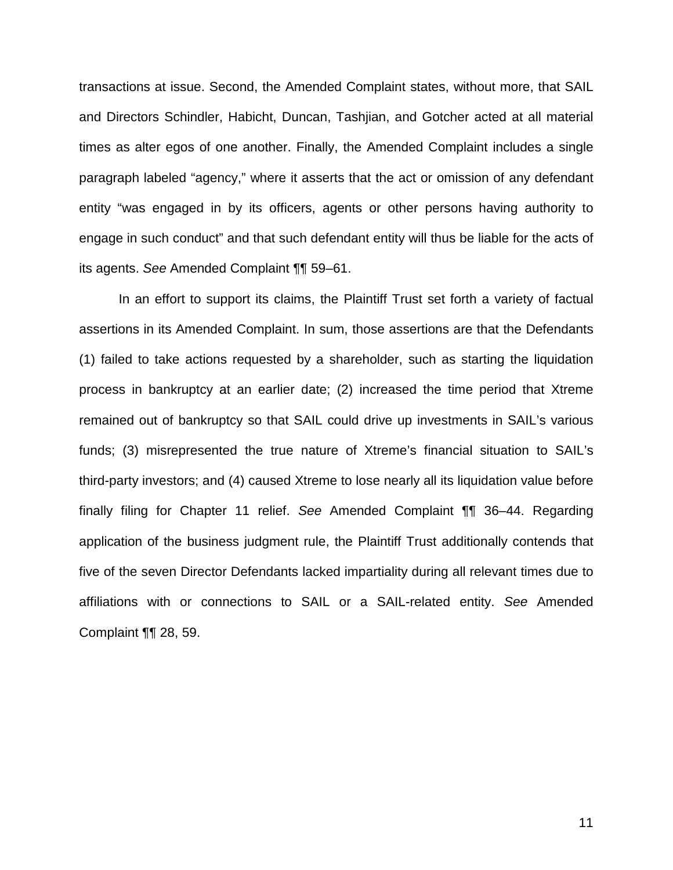transactions at issue. Second, the Amended Complaint states, without more, that SAIL and Directors Schindler, Habicht, Duncan, Tashjian, and Gotcher acted at all material times as alter egos of one another. Finally, the Amended Complaint includes a single paragraph labeled "agency," where it asserts that the act or omission of any defendant entity "was engaged in by its officers, agents or other persons having authority to engage in such conduct" and that such defendant entity will thus be liable for the acts of its agents. *See* Amended Complaint ¶¶ 59–61.

In an effort to support its claims, the Plaintiff Trust set forth a variety of factual assertions in its Amended Complaint. In sum, those assertions are that the Defendants (1) failed to take actions requested by a shareholder, such as starting the liquidation process in bankruptcy at an earlier date; (2) increased the time period that Xtreme remained out of bankruptcy so that SAIL could drive up investments in SAIL's various funds; (3) misrepresented the true nature of Xtreme's financial situation to SAIL's third-party investors; and (4) caused Xtreme to lose nearly all its liquidation value before finally filing for Chapter 11 relief. *See* Amended Complaint ¶¶ 36–44. Regarding application of the business judgment rule, the Plaintiff Trust additionally contends that five of the seven Director Defendants lacked impartiality during all relevant times due to affiliations with or connections to SAIL or a SAIL-related entity. *See* Amended Complaint ¶¶ 28, 59.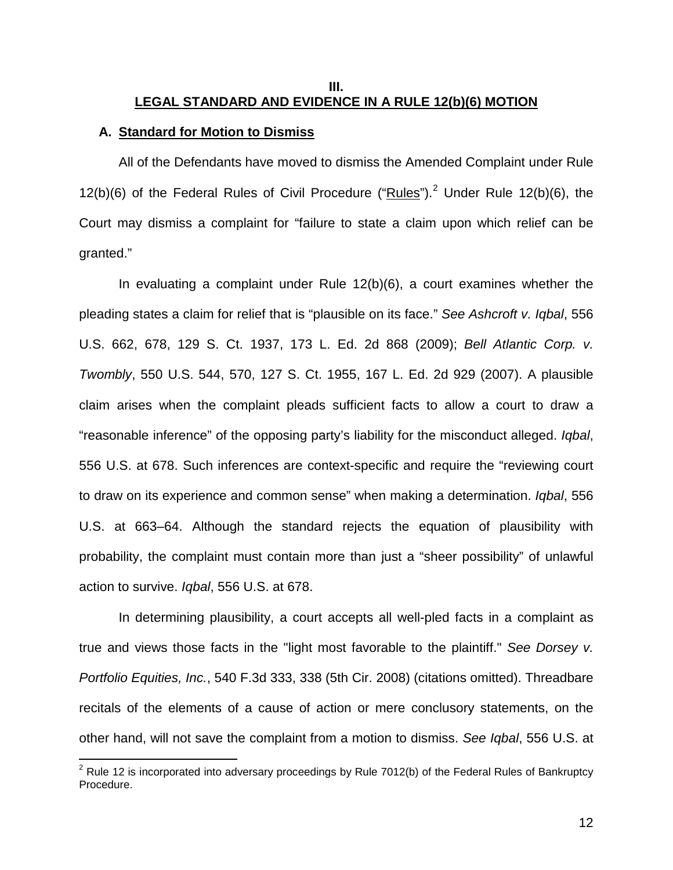## **III. LEGAL STANDARD AND EVIDENCE IN A RULE 12(b)(6) MOTION**

#### **A. Standard for Motion to Dismiss**

 $\overline{\phantom{a}}$ 

All of the Defendants have moved to dismiss the Amended Complaint under Rule 12(b)(6) of the Federal Rules of Civil Procedure ("Rules").<sup>2</sup> Under Rule 12(b)(6), the Court may dismiss a complaint for "failure to state a claim upon which relief can be granted."

In evaluating a complaint under Rule 12(b)(6), a court examines whether the pleading states a claim for relief that is "plausible on its face." *See Ashcroft v. Iqbal*, 556 U.S. 662, 678, 129 S. Ct. 1937, 173 L. Ed. 2d 868 (2009); *Bell Atlantic Corp. v. Twombly*, 550 U.S. 544, 570, 127 S. Ct. 1955, 167 L. Ed. 2d 929 (2007). A plausible claim arises when the complaint pleads sufficient facts to allow a court to draw a "reasonable inference" of the opposing party's liability for the misconduct alleged. *Iqbal*, 556 U.S. at 678. Such inferences are context-specific and require the "reviewing court to draw on its experience and common sense" when making a determination. *Iqbal*, 556 U.S. at 663–64. Although the standard rejects the equation of plausibility with probability, the complaint must contain more than just a "sheer possibility" of unlawful action to survive. *Iqbal*, 556 U.S. at 678.

In determining plausibility, a court accepts all well-pled facts in a complaint as true and views those facts in the "light most favorable to the plaintiff." *See Dorsey v. Portfolio Equities, Inc.*, 540 F.3d 333, 338 (5th Cir. 2008) (citations omitted). Threadbare recitals of the elements of a cause of action or mere conclusory statements, on the other hand, will not save the complaint from a motion to dismiss. *See Iqbal*, 556 U.S. at

 $2$  Rule 12 is incorporated into adversary proceedings by Rule 7012(b) of the Federal Rules of Bankruptcy Procedure.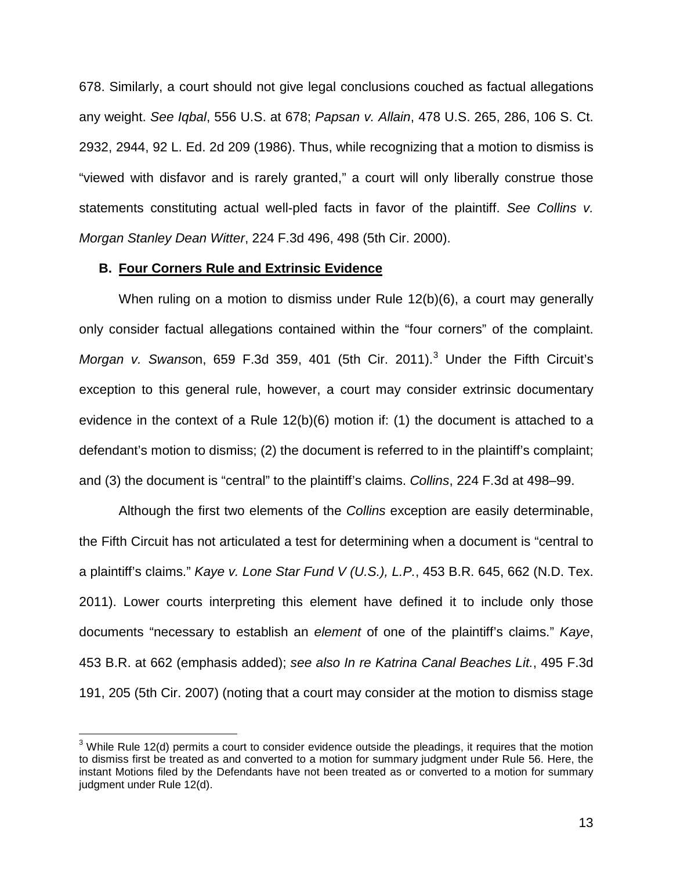678. Similarly, a court should not give legal conclusions couched as factual allegations any weight. *See Iqbal*, 556 U.S. at 678; *Papsan v. Allain*, 478 U.S. 265, 286, 106 S. Ct. 2932, 2944, 92 L. Ed. 2d 209 (1986). Thus, while recognizing that a motion to dismiss is "viewed with disfavor and is rarely granted," a court will only liberally construe those statements constituting actual well-pled facts in favor of the plaintiff. *See Collins v. Morgan Stanley Dean Witter*, 224 F.3d 496, 498 (5th Cir. 2000).

## **B. Four Corners Rule and Extrinsic Evidence**

 $\overline{a}$ 

When ruling on a motion to dismiss under Rule 12(b)(6), a court may generally only consider factual allegations contained within the "four corners" of the complaint. *Morgan v. Swanso*n, 659 F.3d 359, 401 (5th Cir. 2011).<sup>3</sup> Under the Fifth Circuit's exception to this general rule, however, a court may consider extrinsic documentary evidence in the context of a Rule 12(b)(6) motion if: (1) the document is attached to a defendant's motion to dismiss; (2) the document is referred to in the plaintiff's complaint; and (3) the document is "central" to the plaintiff's claims. *Collins*, 224 F.3d at 498–99.

Although the first two elements of the *Collins* exception are easily determinable, the Fifth Circuit has not articulated a test for determining when a document is "central to a plaintiff's claims." *Kaye v. Lone Star Fund V (U.S.), L.P.*, 453 B.R. 645, 662 (N.D. Tex. 2011). Lower courts interpreting this element have defined it to include only those documents "necessary to establish an *element* of one of the plaintiff's claims." *Kaye*, 453 B.R. at 662 (emphasis added); *see also In re Katrina Canal Beaches Lit.*, 495 F.3d 191, 205 (5th Cir. 2007) (noting that a court may consider at the motion to dismiss stage

 $3$  While Rule 12(d) permits a court to consider evidence outside the pleadings, it requires that the motion to dismiss first be treated as and converted to a motion for summary judgment under Rule 56. Here, the instant Motions filed by the Defendants have not been treated as or converted to a motion for summary judgment under Rule 12(d).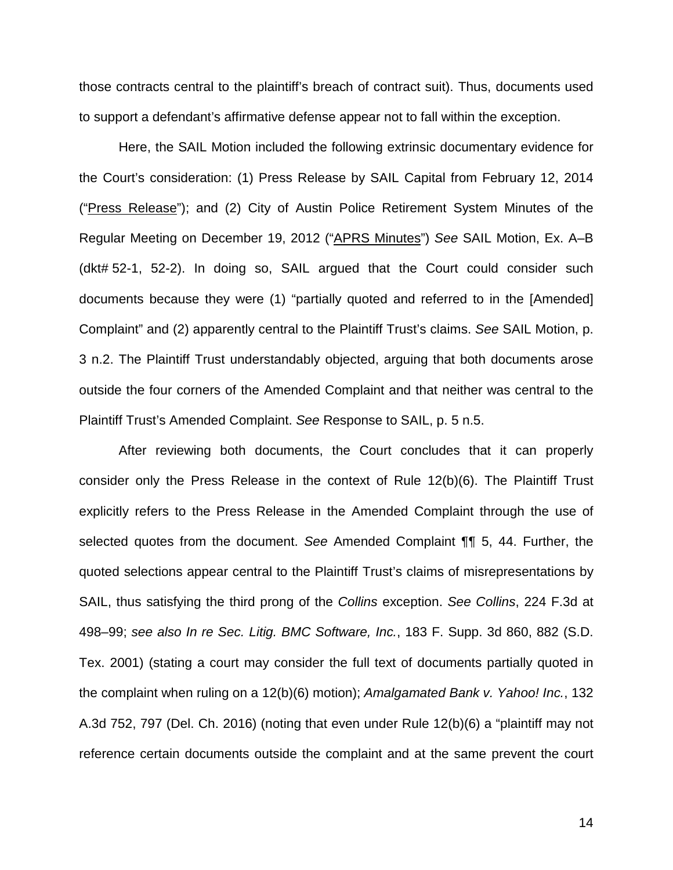those contracts central to the plaintiff's breach of contract suit). Thus, documents used to support a defendant's affirmative defense appear not to fall within the exception.

Here, the SAIL Motion included the following extrinsic documentary evidence for the Court's consideration: (1) Press Release by SAIL Capital from February 12, 2014 ("Press Release"); and (2) City of Austin Police Retirement System Minutes of the Regular Meeting on December 19, 2012 ("APRS Minutes") *See* SAIL Motion, Ex. A–B (dkt# 52-1, 52-2). In doing so, SAIL argued that the Court could consider such documents because they were (1) "partially quoted and referred to in the [Amended] Complaint" and (2) apparently central to the Plaintiff Trust's claims. *See* SAIL Motion, p. 3 n.2. The Plaintiff Trust understandably objected, arguing that both documents arose outside the four corners of the Amended Complaint and that neither was central to the Plaintiff Trust's Amended Complaint. *See* Response to SAIL, p. 5 n.5.

After reviewing both documents, the Court concludes that it can properly consider only the Press Release in the context of Rule 12(b)(6). The Plaintiff Trust explicitly refers to the Press Release in the Amended Complaint through the use of selected quotes from the document. *See* Amended Complaint ¶¶ 5, 44. Further, the quoted selections appear central to the Plaintiff Trust's claims of misrepresentations by SAIL, thus satisfying the third prong of the *Collins* exception. *See Collins*, 224 F.3d at 498–99; *see also In re Sec. Litig. BMC Software, Inc.*, 183 F. Supp. 3d 860, 882 (S.D. Tex. 2001) (stating a court may consider the full text of documents partially quoted in the complaint when ruling on a 12(b)(6) motion); *Amalgamated Bank v. Yahoo! Inc.*, 132 A.3d 752, 797 (Del. Ch. 2016) (noting that even under Rule 12(b)(6) a "plaintiff may not reference certain documents outside the complaint and at the same prevent the court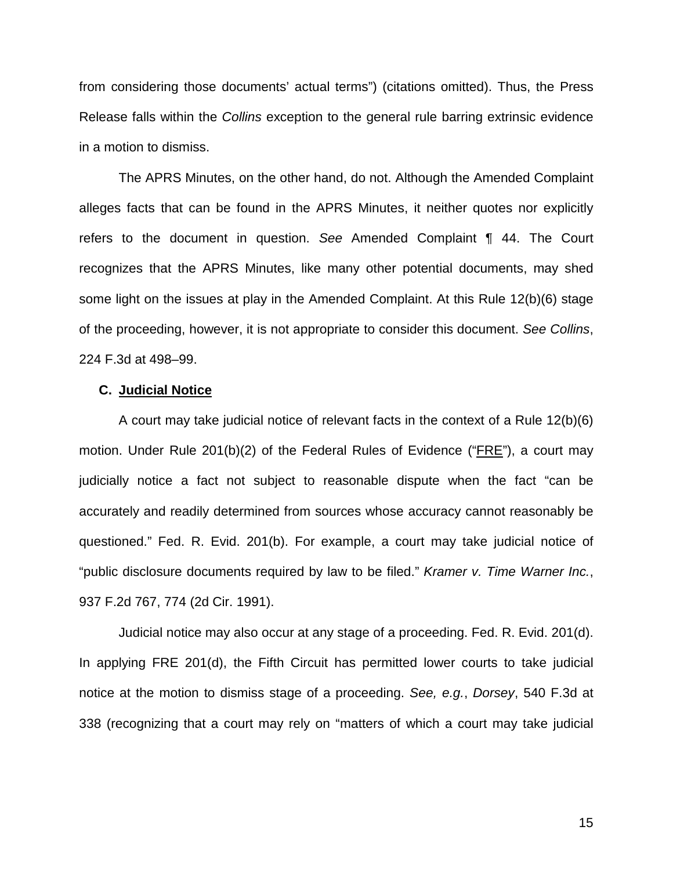from considering those documents' actual terms") (citations omitted). Thus, the Press Release falls within the *Collins* exception to the general rule barring extrinsic evidence in a motion to dismiss.

The APRS Minutes, on the other hand, do not. Although the Amended Complaint alleges facts that can be found in the APRS Minutes, it neither quotes nor explicitly refers to the document in question. *See* Amended Complaint ¶ 44. The Court recognizes that the APRS Minutes, like many other potential documents, may shed some light on the issues at play in the Amended Complaint. At this Rule 12(b)(6) stage of the proceeding, however, it is not appropriate to consider this document. *See Collins*, 224 F.3d at 498–99.

#### **C. Judicial Notice**

 A court may take judicial notice of relevant facts in the context of a Rule 12(b)(6) motion. Under Rule 201(b)(2) of the Federal Rules of Evidence ("FRE"), a court may judicially notice a fact not subject to reasonable dispute when the fact "can be accurately and readily determined from sources whose accuracy cannot reasonably be questioned." Fed. R. Evid. 201(b). For example, a court may take judicial notice of "public disclosure documents required by law to be filed." *Kramer v. Time Warner Inc.*, 937 F.2d 767, 774 (2d Cir. 1991).

Judicial notice may also occur at any stage of a proceeding. Fed. R. Evid. 201(d). In applying FRE 201(d), the Fifth Circuit has permitted lower courts to take judicial notice at the motion to dismiss stage of a proceeding. *See, e.g.*, *Dorsey*, 540 F.3d at 338 (recognizing that a court may rely on "matters of which a court may take judicial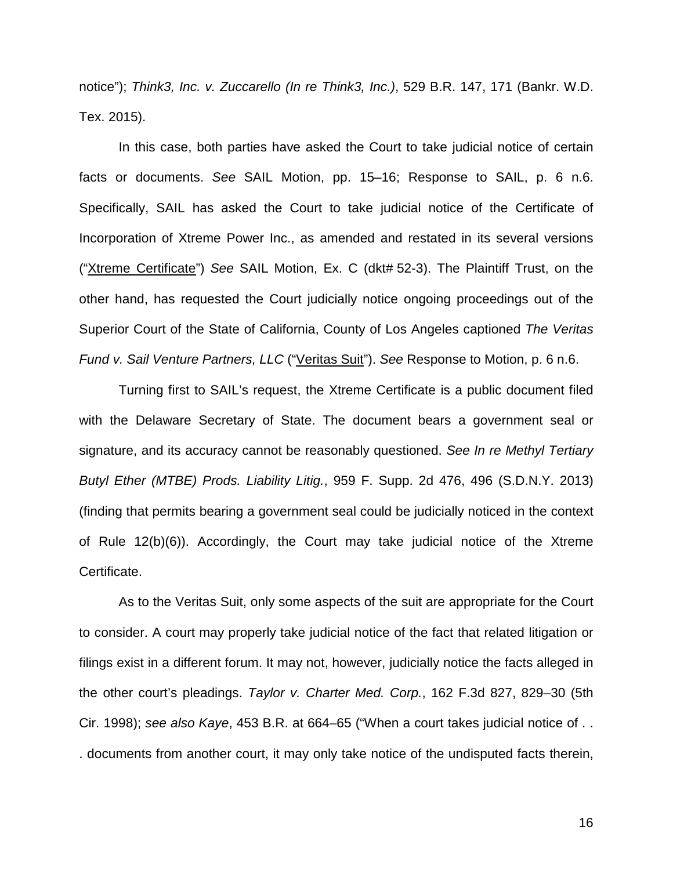notice"); *Think3, Inc. v. Zuccarello (In re Think3, Inc.)*, 529 B.R. 147, 171 (Bankr. W.D. Tex. 2015).

In this case, both parties have asked the Court to take judicial notice of certain facts or documents. *See* SAIL Motion, pp. 15–16; Response to SAIL, p. 6 n.6. Specifically, SAIL has asked the Court to take judicial notice of the Certificate of Incorporation of Xtreme Power Inc., as amended and restated in its several versions ("Xtreme Certificate") *See* SAIL Motion, Ex. C (dkt# 52-3). The Plaintiff Trust, on the other hand, has requested the Court judicially notice ongoing proceedings out of the Superior Court of the State of California, County of Los Angeles captioned *The Veritas Fund v. Sail Venture Partners, LLC* ("Veritas Suit"). *See* Response to Motion, p. 6 n.6.

Turning first to SAIL's request, the Xtreme Certificate is a public document filed with the Delaware Secretary of State. The document bears a government seal or signature, and its accuracy cannot be reasonably questioned. *See In re Methyl Tertiary Butyl Ether (MTBE) Prods. Liability Litig.*, 959 F. Supp. 2d 476, 496 (S.D.N.Y. 2013) (finding that permits bearing a government seal could be judicially noticed in the context of Rule 12(b)(6)). Accordingly, the Court may take judicial notice of the Xtreme Certificate.

As to the Veritas Suit, only some aspects of the suit are appropriate for the Court to consider. A court may properly take judicial notice of the fact that related litigation or filings exist in a different forum. It may not, however, judicially notice the facts alleged in the other court's pleadings. *Taylor v. Charter Med. Corp.*, 162 F.3d 827, 829–30 (5th Cir. 1998); *see also Kaye*, 453 B.R. at 664–65 ("When a court takes judicial notice of . . . documents from another court, it may only take notice of the undisputed facts therein,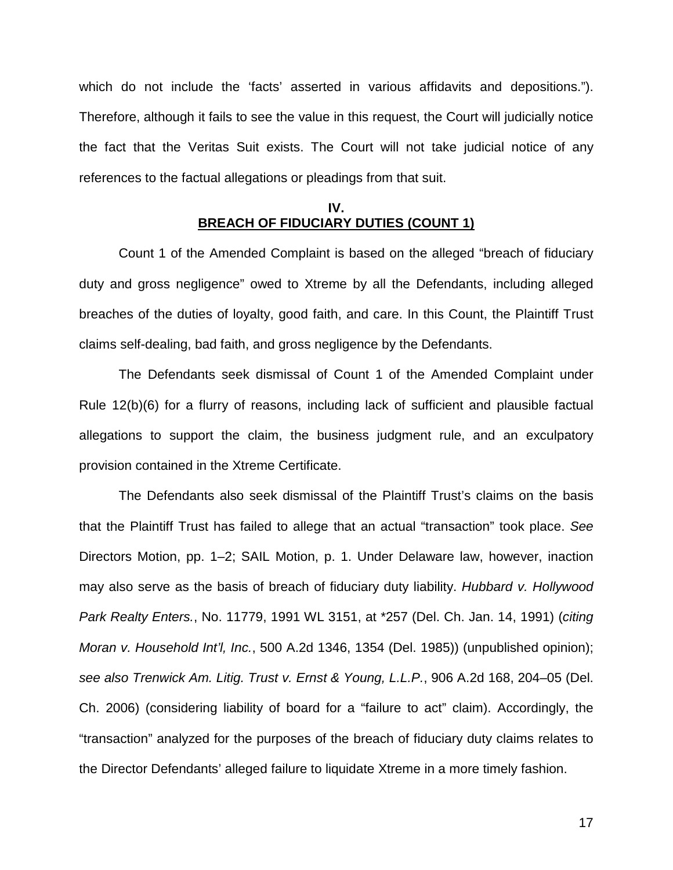which do not include the 'facts' asserted in various affidavits and depositions."). Therefore, although it fails to see the value in this request, the Court will judicially notice the fact that the Veritas Suit exists. The Court will not take judicial notice of any references to the factual allegations or pleadings from that suit.

## **IV. BREACH OF FIDUCIARY DUTIES (COUNT 1)**

Count 1 of the Amended Complaint is based on the alleged "breach of fiduciary duty and gross negligence" owed to Xtreme by all the Defendants, including alleged breaches of the duties of loyalty, good faith, and care. In this Count, the Plaintiff Trust claims self-dealing, bad faith, and gross negligence by the Defendants.

The Defendants seek dismissal of Count 1 of the Amended Complaint under Rule 12(b)(6) for a flurry of reasons, including lack of sufficient and plausible factual allegations to support the claim, the business judgment rule, and an exculpatory provision contained in the Xtreme Certificate.

The Defendants also seek dismissal of the Plaintiff Trust's claims on the basis that the Plaintiff Trust has failed to allege that an actual "transaction" took place. *See*  Directors Motion, pp. 1–2; SAIL Motion, p. 1. Under Delaware law, however, inaction may also serve as the basis of breach of fiduciary duty liability. *Hubbard v. Hollywood Park Realty Enters.*, No. 11779, 1991 WL 3151, at \*257 (Del. Ch. Jan. 14, 1991) (*citing Moran v. Household Int'l, Inc.*, 500 A.2d 1346, 1354 (Del. 1985)) (unpublished opinion); *see also Trenwick Am. Litig. Trust v. Ernst & Young, L.L.P.*, 906 A.2d 168, 204–05 (Del. Ch. 2006) (considering liability of board for a "failure to act" claim). Accordingly, the "transaction" analyzed for the purposes of the breach of fiduciary duty claims relates to the Director Defendants' alleged failure to liquidate Xtreme in a more timely fashion.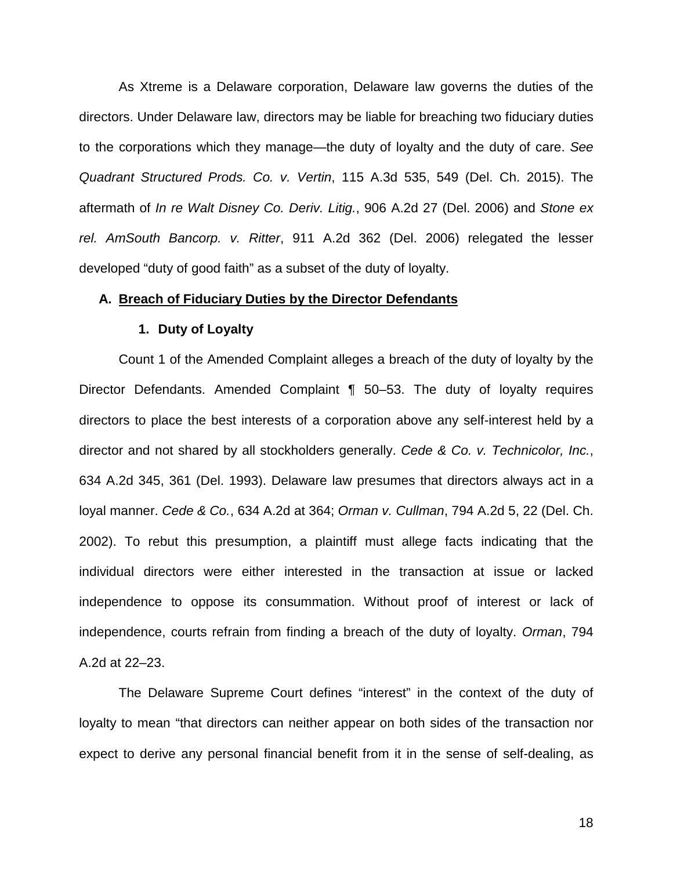As Xtreme is a Delaware corporation, Delaware law governs the duties of the directors. Under Delaware law, directors may be liable for breaching two fiduciary duties to the corporations which they manage—the duty of loyalty and the duty of care. *See Quadrant Structured Prods. Co. v. Vertin*, 115 A.3d 535, 549 (Del. Ch. 2015). The aftermath of *In re Walt Disney Co. Deriv. Litig.*, 906 A.2d 27 (Del. 2006) and *Stone ex rel. AmSouth Bancorp. v. Ritter*, 911 A.2d 362 (Del. 2006) relegated the lesser developed "duty of good faith" as a subset of the duty of loyalty.

#### **A. Breach of Fiduciary Duties by the Director Defendants**

#### **1. Duty of Loyalty**

Count 1 of the Amended Complaint alleges a breach of the duty of loyalty by the Director Defendants. Amended Complaint ¶ 50–53. The duty of loyalty requires directors to place the best interests of a corporation above any self-interest held by a director and not shared by all stockholders generally. *Cede & Co. v. Technicolor, Inc.*, 634 A.2d 345, 361 (Del. 1993). Delaware law presumes that directors always act in a loyal manner. *Cede & Co.*, 634 A.2d at 364; *Orman v. Cullman*, 794 A.2d 5, 22 (Del. Ch. 2002). To rebut this presumption, a plaintiff must allege facts indicating that the individual directors were either interested in the transaction at issue or lacked independence to oppose its consummation. Without proof of interest or lack of independence, courts refrain from finding a breach of the duty of loyalty. *Orman*, 794 A.2d at 22–23.

The Delaware Supreme Court defines "interest" in the context of the duty of loyalty to mean "that directors can neither appear on both sides of the transaction nor expect to derive any personal financial benefit from it in the sense of self-dealing, as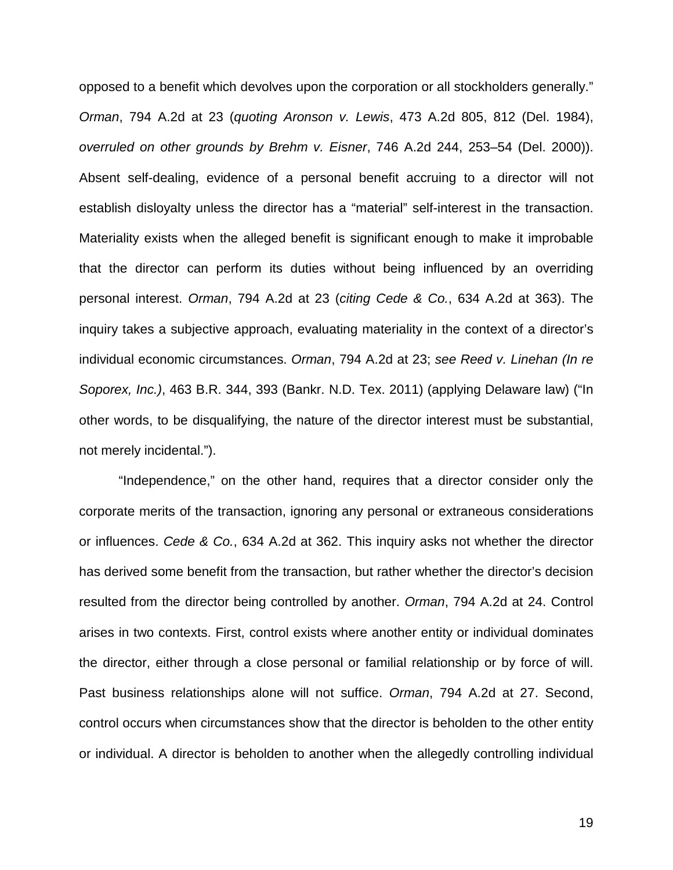opposed to a benefit which devolves upon the corporation or all stockholders generally." *Orman*, 794 A.2d at 23 (*quoting Aronson v. Lewis*, 473 A.2d 805, 812 (Del. 1984), *overruled on other grounds by Brehm v. Eisner*, 746 A.2d 244, 253–54 (Del. 2000)). Absent self-dealing, evidence of a personal benefit accruing to a director will not establish disloyalty unless the director has a "material" self-interest in the transaction. Materiality exists when the alleged benefit is significant enough to make it improbable that the director can perform its duties without being influenced by an overriding personal interest. *Orman*, 794 A.2d at 23 (*citing Cede & Co.*, 634 A.2d at 363). The inquiry takes a subjective approach, evaluating materiality in the context of a director's individual economic circumstances. *Orman*, 794 A.2d at 23; *see Reed v. Linehan (In re Soporex, Inc.)*, 463 B.R. 344, 393 (Bankr. N.D. Tex. 2011) (applying Delaware law) ("In other words, to be disqualifying, the nature of the director interest must be substantial, not merely incidental.").

"Independence," on the other hand, requires that a director consider only the corporate merits of the transaction, ignoring any personal or extraneous considerations or influences. *Cede & Co.*, 634 A.2d at 362. This inquiry asks not whether the director has derived some benefit from the transaction, but rather whether the director's decision resulted from the director being controlled by another. *Orman*, 794 A.2d at 24. Control arises in two contexts. First, control exists where another entity or individual dominates the director, either through a close personal or familial relationship or by force of will. Past business relationships alone will not suffice. *Orman*, 794 A.2d at 27. Second, control occurs when circumstances show that the director is beholden to the other entity or individual. A director is beholden to another when the allegedly controlling individual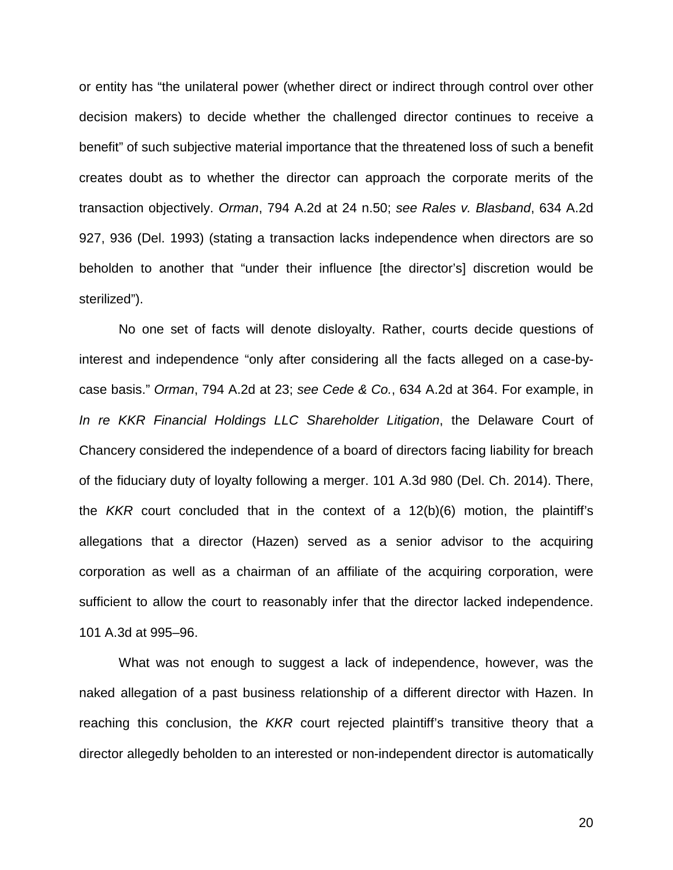or entity has "the unilateral power (whether direct or indirect through control over other decision makers) to decide whether the challenged director continues to receive a benefit" of such subjective material importance that the threatened loss of such a benefit creates doubt as to whether the director can approach the corporate merits of the transaction objectively. *Orman*, 794 A.2d at 24 n.50; *see Rales v. Blasband*, 634 A.2d 927, 936 (Del. 1993) (stating a transaction lacks independence when directors are so beholden to another that "under their influence [the director's] discretion would be sterilized").

 No one set of facts will denote disloyalty. Rather, courts decide questions of interest and independence "only after considering all the facts alleged on a case-bycase basis." *Orman*, 794 A.2d at 23; *see Cede & Co.*, 634 A.2d at 364. For example, in *In re KKR Financial Holdings LLC Shareholder Litigation*, the Delaware Court of Chancery considered the independence of a board of directors facing liability for breach of the fiduciary duty of loyalty following a merger. 101 A.3d 980 (Del. Ch. 2014). There, the *KKR* court concluded that in the context of a 12(b)(6) motion, the plaintiff's allegations that a director (Hazen) served as a senior advisor to the acquiring corporation as well as a chairman of an affiliate of the acquiring corporation, were sufficient to allow the court to reasonably infer that the director lacked independence. 101 A.3d at 995–96.

What was not enough to suggest a lack of independence, however, was the naked allegation of a past business relationship of a different director with Hazen. In reaching this conclusion, the *KKR* court rejected plaintiff's transitive theory that a director allegedly beholden to an interested or non-independent director is automatically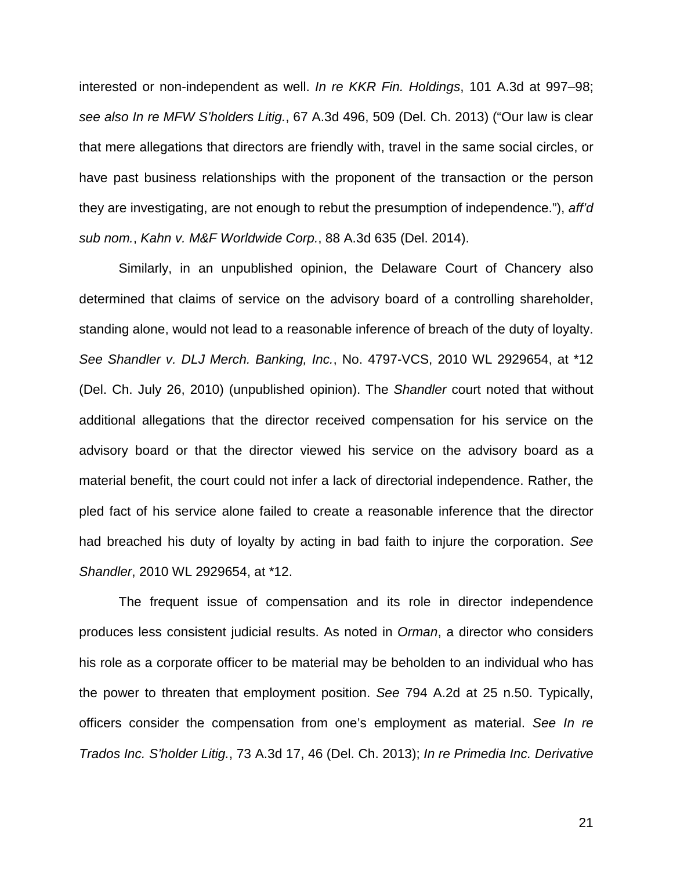interested or non-independent as well. *In re KKR Fin. Holdings*, 101 A.3d at 997–98; *see also In re MFW S'holders Litig.*, 67 A.3d 496, 509 (Del. Ch. 2013) ("Our law is clear that mere allegations that directors are friendly with, travel in the same social circles, or have past business relationships with the proponent of the transaction or the person they are investigating, are not enough to rebut the presumption of independence."), *aff'd sub nom.*, *Kahn v. M&F Worldwide Corp.*, 88 A.3d 635 (Del. 2014).

Similarly, in an unpublished opinion, the Delaware Court of Chancery also determined that claims of service on the advisory board of a controlling shareholder, standing alone, would not lead to a reasonable inference of breach of the duty of loyalty. *See Shandler v. DLJ Merch. Banking, Inc.*, No. 4797-VCS, 2010 WL 2929654, at \*12 (Del. Ch. July 26, 2010) (unpublished opinion). The *Shandler* court noted that without additional allegations that the director received compensation for his service on the advisory board or that the director viewed his service on the advisory board as a material benefit, the court could not infer a lack of directorial independence. Rather, the pled fact of his service alone failed to create a reasonable inference that the director had breached his duty of loyalty by acting in bad faith to injure the corporation. *See Shandler*, 2010 WL 2929654, at \*12.

The frequent issue of compensation and its role in director independence produces less consistent judicial results. As noted in *Orman*, a director who considers his role as a corporate officer to be material may be beholden to an individual who has the power to threaten that employment position. *See* 794 A.2d at 25 n.50. Typically, officers consider the compensation from one's employment as material. *See In re Trados Inc. S'holder Litig.*, 73 A.3d 17, 46 (Del. Ch. 2013); *In re Primedia Inc. Derivative*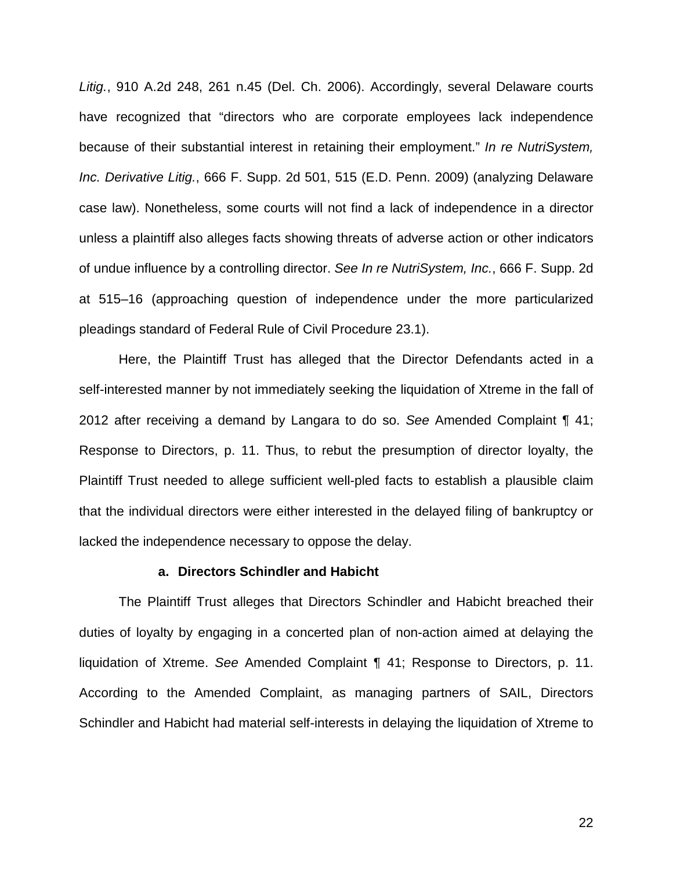*Litig.*, 910 A.2d 248, 261 n.45 (Del. Ch. 2006). Accordingly, several Delaware courts have recognized that "directors who are corporate employees lack independence because of their substantial interest in retaining their employment." *In re NutriSystem, Inc. Derivative Litig.*, 666 F. Supp. 2d 501, 515 (E.D. Penn. 2009) (analyzing Delaware case law). Nonetheless, some courts will not find a lack of independence in a director unless a plaintiff also alleges facts showing threats of adverse action or other indicators of undue influence by a controlling director. *See In re NutriSystem, Inc.*, 666 F. Supp. 2d at 515–16 (approaching question of independence under the more particularized pleadings standard of Federal Rule of Civil Procedure 23.1).

Here, the Plaintiff Trust has alleged that the Director Defendants acted in a self-interested manner by not immediately seeking the liquidation of Xtreme in the fall of 2012 after receiving a demand by Langara to do so. *See* Amended Complaint ¶ 41; Response to Directors, p. 11. Thus, to rebut the presumption of director loyalty, the Plaintiff Trust needed to allege sufficient well-pled facts to establish a plausible claim that the individual directors were either interested in the delayed filing of bankruptcy or lacked the independence necessary to oppose the delay.

#### **a. Directors Schindler and Habicht**

The Plaintiff Trust alleges that Directors Schindler and Habicht breached their duties of loyalty by engaging in a concerted plan of non-action aimed at delaying the liquidation of Xtreme. *See* Amended Complaint ¶ 41; Response to Directors, p. 11. According to the Amended Complaint, as managing partners of SAIL, Directors Schindler and Habicht had material self-interests in delaying the liquidation of Xtreme to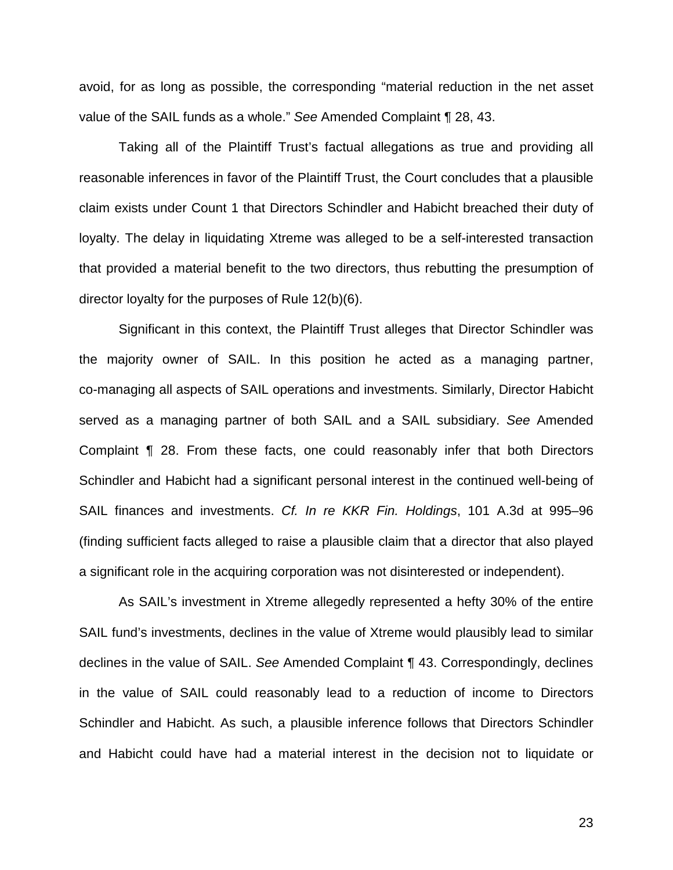avoid, for as long as possible, the corresponding "material reduction in the net asset value of the SAIL funds as a whole." *See* Amended Complaint ¶ 28, 43.

Taking all of the Plaintiff Trust's factual allegations as true and providing all reasonable inferences in favor of the Plaintiff Trust, the Court concludes that a plausible claim exists under Count 1 that Directors Schindler and Habicht breached their duty of loyalty. The delay in liquidating Xtreme was alleged to be a self-interested transaction that provided a material benefit to the two directors, thus rebutting the presumption of director loyalty for the purposes of Rule 12(b)(6).

Significant in this context, the Plaintiff Trust alleges that Director Schindler was the majority owner of SAIL. In this position he acted as a managing partner, co-managing all aspects of SAIL operations and investments. Similarly, Director Habicht served as a managing partner of both SAIL and a SAIL subsidiary. *See* Amended Complaint ¶ 28. From these facts, one could reasonably infer that both Directors Schindler and Habicht had a significant personal interest in the continued well-being of SAIL finances and investments. *Cf. In re KKR Fin. Holdings*, 101 A.3d at 995–96 (finding sufficient facts alleged to raise a plausible claim that a director that also played a significant role in the acquiring corporation was not disinterested or independent).

As SAIL's investment in Xtreme allegedly represented a hefty 30% of the entire SAIL fund's investments, declines in the value of Xtreme would plausibly lead to similar declines in the value of SAIL. *See* Amended Complaint ¶ 43. Correspondingly, declines in the value of SAIL could reasonably lead to a reduction of income to Directors Schindler and Habicht. As such, a plausible inference follows that Directors Schindler and Habicht could have had a material interest in the decision not to liquidate or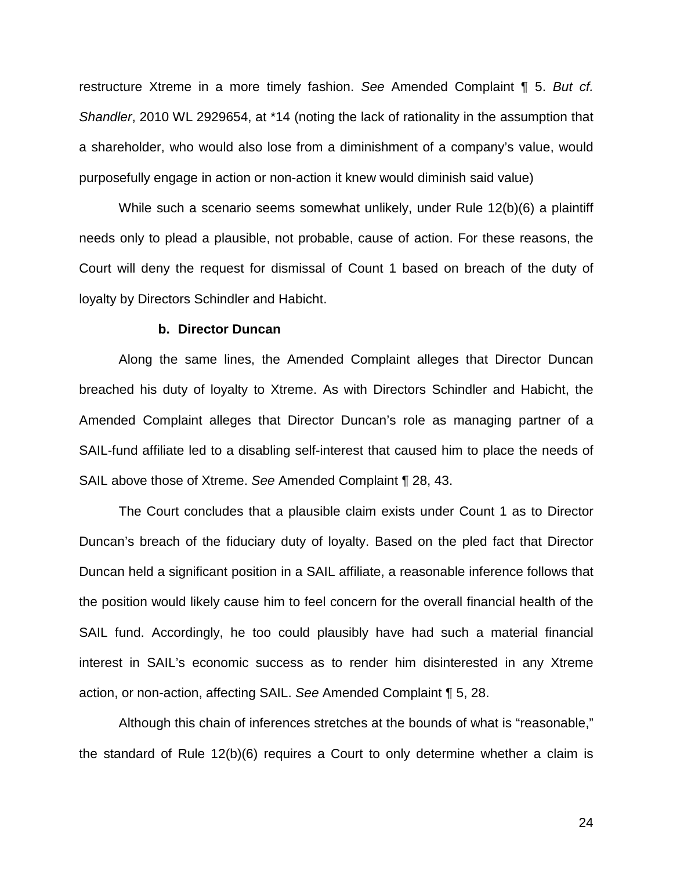restructure Xtreme in a more timely fashion. *See* Amended Complaint ¶ 5. *But cf. Shandler*, 2010 WL 2929654, at \*14 (noting the lack of rationality in the assumption that a shareholder, who would also lose from a diminishment of a company's value, would purposefully engage in action or non-action it knew would diminish said value)

While such a scenario seems somewhat unlikely, under Rule 12(b)(6) a plaintiff needs only to plead a plausible, not probable, cause of action. For these reasons, the Court will deny the request for dismissal of Count 1 based on breach of the duty of loyalty by Directors Schindler and Habicht.

## **b. Director Duncan**

Along the same lines, the Amended Complaint alleges that Director Duncan breached his duty of loyalty to Xtreme. As with Directors Schindler and Habicht, the Amended Complaint alleges that Director Duncan's role as managing partner of a SAIL-fund affiliate led to a disabling self-interest that caused him to place the needs of SAIL above those of Xtreme. *See* Amended Complaint ¶ 28, 43.

The Court concludes that a plausible claim exists under Count 1 as to Director Duncan's breach of the fiduciary duty of loyalty. Based on the pled fact that Director Duncan held a significant position in a SAIL affiliate, a reasonable inference follows that the position would likely cause him to feel concern for the overall financial health of the SAIL fund. Accordingly, he too could plausibly have had such a material financial interest in SAIL's economic success as to render him disinterested in any Xtreme action, or non-action, affecting SAIL. *See* Amended Complaint ¶ 5, 28.

Although this chain of inferences stretches at the bounds of what is "reasonable," the standard of Rule 12(b)(6) requires a Court to only determine whether a claim is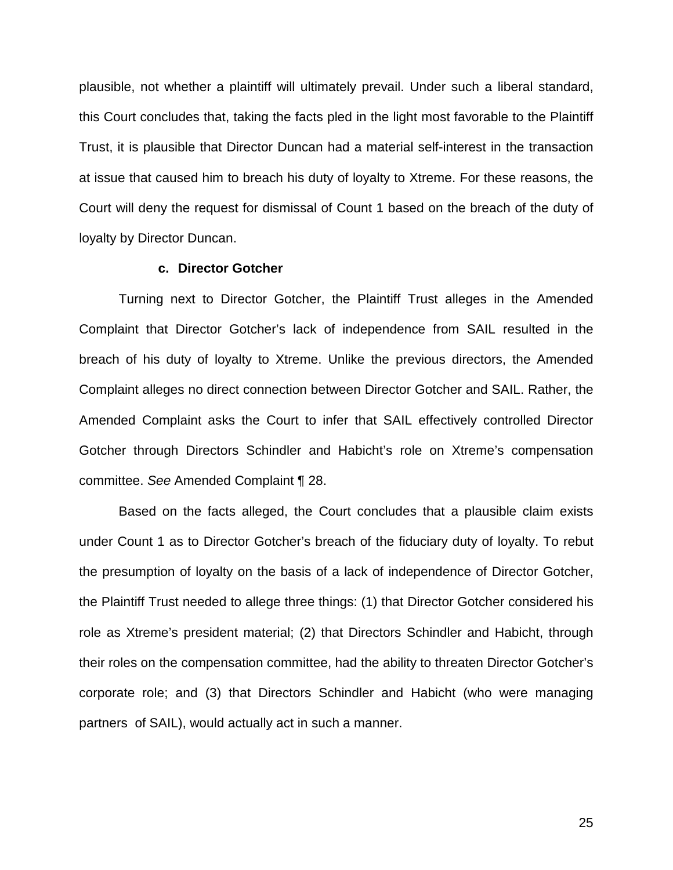plausible, not whether a plaintiff will ultimately prevail. Under such a liberal standard, this Court concludes that, taking the facts pled in the light most favorable to the Plaintiff Trust, it is plausible that Director Duncan had a material self-interest in the transaction at issue that caused him to breach his duty of loyalty to Xtreme. For these reasons, the Court will deny the request for dismissal of Count 1 based on the breach of the duty of loyalty by Director Duncan.

## **c. Director Gotcher**

Turning next to Director Gotcher, the Plaintiff Trust alleges in the Amended Complaint that Director Gotcher's lack of independence from SAIL resulted in the breach of his duty of loyalty to Xtreme. Unlike the previous directors, the Amended Complaint alleges no direct connection between Director Gotcher and SAIL. Rather, the Amended Complaint asks the Court to infer that SAIL effectively controlled Director Gotcher through Directors Schindler and Habicht's role on Xtreme's compensation committee. *See* Amended Complaint ¶ 28.

Based on the facts alleged, the Court concludes that a plausible claim exists under Count 1 as to Director Gotcher's breach of the fiduciary duty of loyalty. To rebut the presumption of loyalty on the basis of a lack of independence of Director Gotcher, the Plaintiff Trust needed to allege three things: (1) that Director Gotcher considered his role as Xtreme's president material; (2) that Directors Schindler and Habicht, through their roles on the compensation committee, had the ability to threaten Director Gotcher's corporate role; and (3) that Directors Schindler and Habicht (who were managing partners of SAIL), would actually act in such a manner.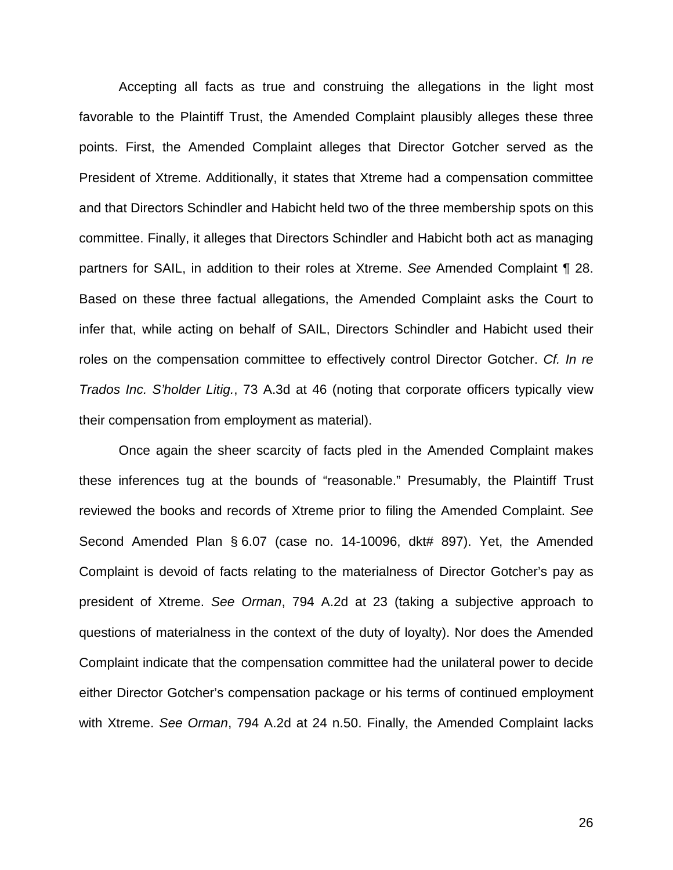Accepting all facts as true and construing the allegations in the light most favorable to the Plaintiff Trust, the Amended Complaint plausibly alleges these three points. First, the Amended Complaint alleges that Director Gotcher served as the President of Xtreme. Additionally, it states that Xtreme had a compensation committee and that Directors Schindler and Habicht held two of the three membership spots on this committee. Finally, it alleges that Directors Schindler and Habicht both act as managing partners for SAIL, in addition to their roles at Xtreme. *See* Amended Complaint ¶ 28. Based on these three factual allegations, the Amended Complaint asks the Court to infer that, while acting on behalf of SAIL, Directors Schindler and Habicht used their roles on the compensation committee to effectively control Director Gotcher. *Cf. In re Trados Inc. S'holder Litig.*, 73 A.3d at 46 (noting that corporate officers typically view their compensation from employment as material).

Once again the sheer scarcity of facts pled in the Amended Complaint makes these inferences tug at the bounds of "reasonable." Presumably, the Plaintiff Trust reviewed the books and records of Xtreme prior to filing the Amended Complaint. *See* Second Amended Plan § 6.07 (case no. 14-10096, dkt# 897). Yet, the Amended Complaint is devoid of facts relating to the materialness of Director Gotcher's pay as president of Xtreme. *See Orman*, 794 A.2d at 23 (taking a subjective approach to questions of materialness in the context of the duty of loyalty). Nor does the Amended Complaint indicate that the compensation committee had the unilateral power to decide either Director Gotcher's compensation package or his terms of continued employment with Xtreme. *See Orman*, 794 A.2d at 24 n.50. Finally, the Amended Complaint lacks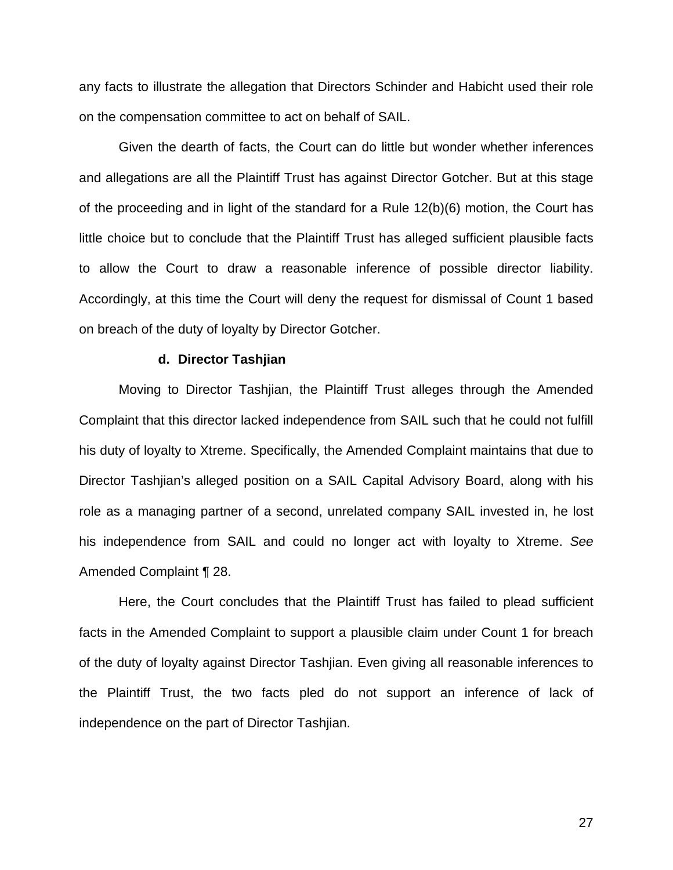any facts to illustrate the allegation that Directors Schinder and Habicht used their role on the compensation committee to act on behalf of SAIL.

Given the dearth of facts, the Court can do little but wonder whether inferences and allegations are all the Plaintiff Trust has against Director Gotcher. But at this stage of the proceeding and in light of the standard for a Rule 12(b)(6) motion, the Court has little choice but to conclude that the Plaintiff Trust has alleged sufficient plausible facts to allow the Court to draw a reasonable inference of possible director liability. Accordingly, at this time the Court will deny the request for dismissal of Count 1 based on breach of the duty of loyalty by Director Gotcher.

#### **d. Director Tashjian**

Moving to Director Tashjian, the Plaintiff Trust alleges through the Amended Complaint that this director lacked independence from SAIL such that he could not fulfill his duty of loyalty to Xtreme. Specifically, the Amended Complaint maintains that due to Director Tashjian's alleged position on a SAIL Capital Advisory Board, along with his role as a managing partner of a second, unrelated company SAIL invested in, he lost his independence from SAIL and could no longer act with loyalty to Xtreme. *See*  Amended Complaint ¶ 28.

Here, the Court concludes that the Plaintiff Trust has failed to plead sufficient facts in the Amended Complaint to support a plausible claim under Count 1 for breach of the duty of loyalty against Director Tashjian. Even giving all reasonable inferences to the Plaintiff Trust, the two facts pled do not support an inference of lack of independence on the part of Director Tashjian.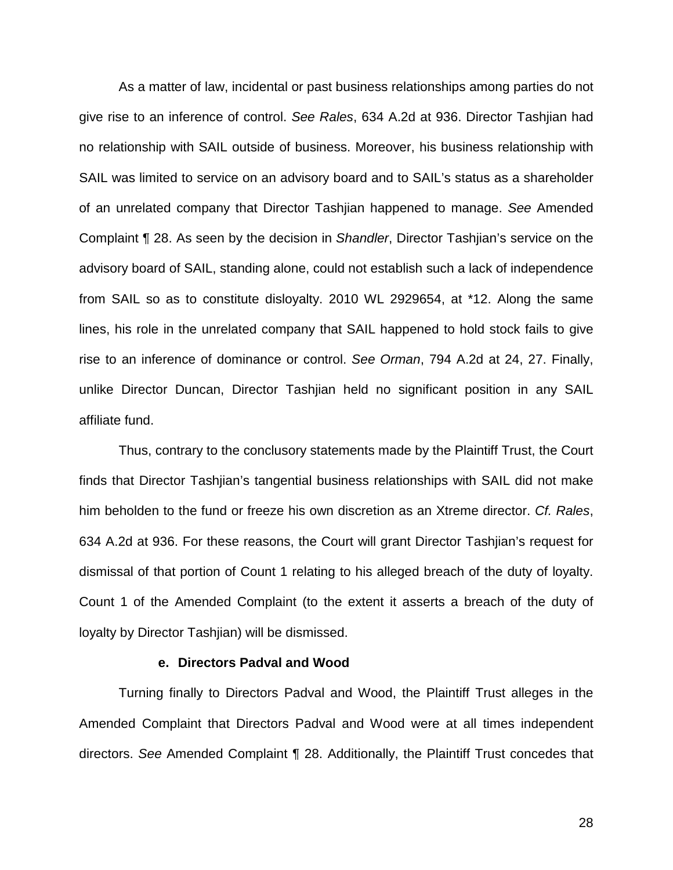As a matter of law, incidental or past business relationships among parties do not give rise to an inference of control. *See Rales*, 634 A.2d at 936. Director Tashjian had no relationship with SAIL outside of business. Moreover, his business relationship with SAIL was limited to service on an advisory board and to SAIL's status as a shareholder of an unrelated company that Director Tashjian happened to manage. *See* Amended Complaint ¶ 28. As seen by the decision in *Shandler*, Director Tashjian's service on the advisory board of SAIL, standing alone, could not establish such a lack of independence from SAIL so as to constitute disloyalty. 2010 WL 2929654, at \*12. Along the same lines, his role in the unrelated company that SAIL happened to hold stock fails to give rise to an inference of dominance or control. *See Orman*, 794 A.2d at 24, 27. Finally, unlike Director Duncan, Director Tashjian held no significant position in any SAIL affiliate fund.

Thus, contrary to the conclusory statements made by the Plaintiff Trust, the Court finds that Director Tashjian's tangential business relationships with SAIL did not make him beholden to the fund or freeze his own discretion as an Xtreme director. *Cf. Rales*, 634 A.2d at 936. For these reasons, the Court will grant Director Tashjian's request for dismissal of that portion of Count 1 relating to his alleged breach of the duty of loyalty. Count 1 of the Amended Complaint (to the extent it asserts a breach of the duty of loyalty by Director Tashjian) will be dismissed.

#### **e. Directors Padval and Wood**

Turning finally to Directors Padval and Wood, the Plaintiff Trust alleges in the Amended Complaint that Directors Padval and Wood were at all times independent directors. *See* Amended Complaint ¶ 28. Additionally, the Plaintiff Trust concedes that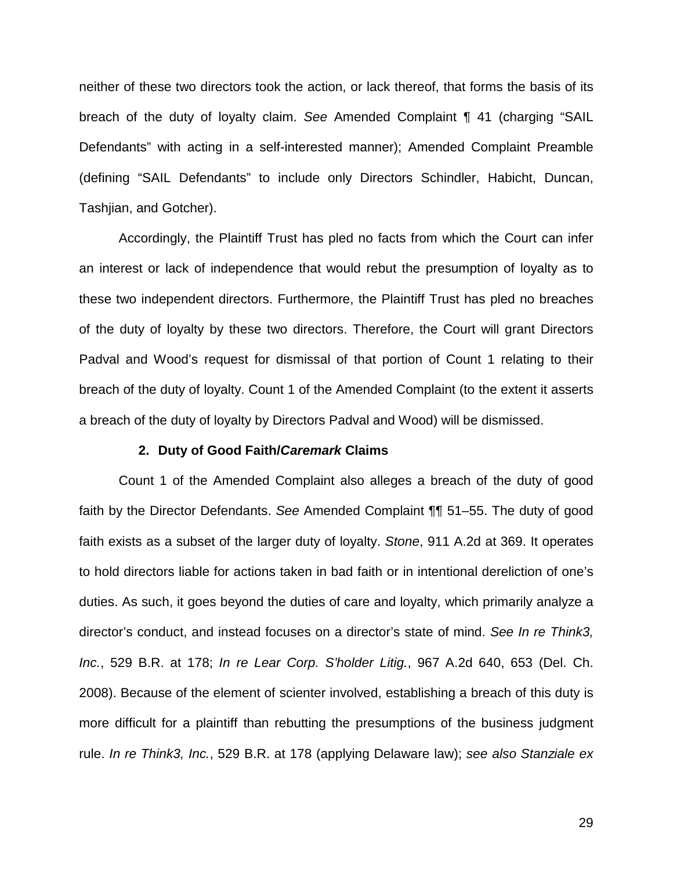neither of these two directors took the action, or lack thereof, that forms the basis of its breach of the duty of loyalty claim. *See* Amended Complaint ¶ 41 (charging "SAIL Defendants" with acting in a self-interested manner); Amended Complaint Preamble (defining "SAIL Defendants" to include only Directors Schindler, Habicht, Duncan, Tashjian, and Gotcher).

Accordingly, the Plaintiff Trust has pled no facts from which the Court can infer an interest or lack of independence that would rebut the presumption of loyalty as to these two independent directors. Furthermore, the Plaintiff Trust has pled no breaches of the duty of loyalty by these two directors. Therefore, the Court will grant Directors Padval and Wood's request for dismissal of that portion of Count 1 relating to their breach of the duty of loyalty. Count 1 of the Amended Complaint (to the extent it asserts a breach of the duty of loyalty by Directors Padval and Wood) will be dismissed.

#### **2. Duty of Good Faith/***Caremark* **Claims**

Count 1 of the Amended Complaint also alleges a breach of the duty of good faith by the Director Defendants. *See* Amended Complaint ¶¶ 51–55. The duty of good faith exists as a subset of the larger duty of loyalty. *Stone*, 911 A.2d at 369. It operates to hold directors liable for actions taken in bad faith or in intentional dereliction of one's duties. As such, it goes beyond the duties of care and loyalty, which primarily analyze a director's conduct, and instead focuses on a director's state of mind. *See In re Think3, Inc.*, 529 B.R. at 178; *In re Lear Corp. S'holder Litig.*, 967 A.2d 640, 653 (Del. Ch. 2008). Because of the element of scienter involved, establishing a breach of this duty is more difficult for a plaintiff than rebutting the presumptions of the business judgment rule. *In re Think3, Inc.*, 529 B.R. at 178 (applying Delaware law); *see also Stanziale ex*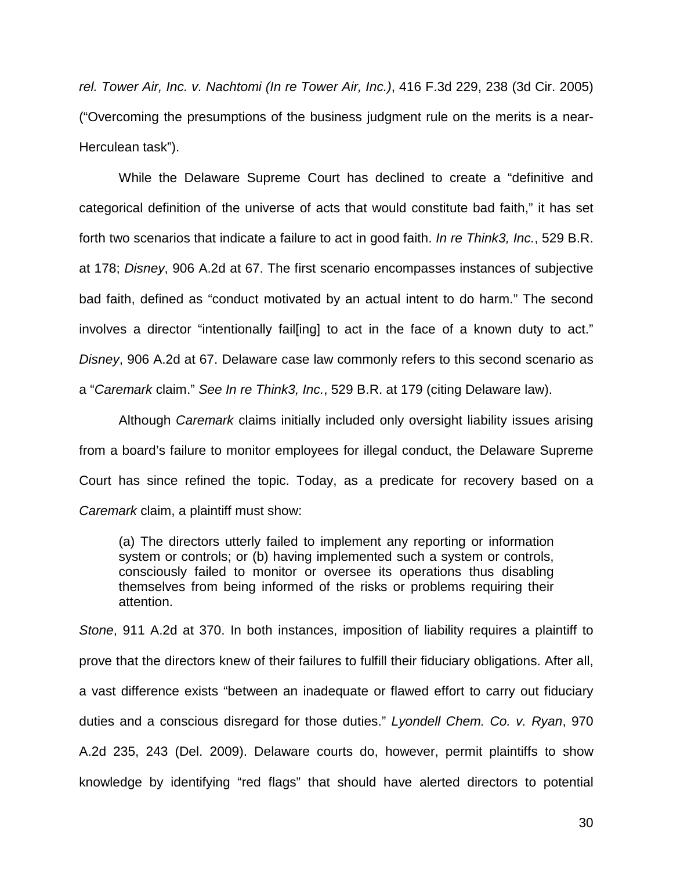*rel. Tower Air, Inc. v. Nachtomi (In re Tower Air, Inc.)*, 416 F.3d 229, 238 (3d Cir. 2005) ("Overcoming the presumptions of the business judgment rule on the merits is a near-Herculean task").

While the Delaware Supreme Court has declined to create a "definitive and categorical definition of the universe of acts that would constitute bad faith," it has set forth two scenarios that indicate a failure to act in good faith. *In re Think3, Inc.*, 529 B.R. at 178; *Disney*, 906 A.2d at 67. The first scenario encompasses instances of subjective bad faith, defined as "conduct motivated by an actual intent to do harm." The second involves a director "intentionally fail[ing] to act in the face of a known duty to act." *Disney*, 906 A.2d at 67. Delaware case law commonly refers to this second scenario as a "*Caremark* claim." *See In re Think3, Inc.*, 529 B.R. at 179 (citing Delaware law).

Although *Caremark* claims initially included only oversight liability issues arising from a board's failure to monitor employees for illegal conduct, the Delaware Supreme Court has since refined the topic. Today, as a predicate for recovery based on a *Caremark* claim, a plaintiff must show:

(a) The directors utterly failed to implement any reporting or information system or controls; or (b) having implemented such a system or controls, consciously failed to monitor or oversee its operations thus disabling themselves from being informed of the risks or problems requiring their attention.

*Stone*, 911 A.2d at 370. In both instances, imposition of liability requires a plaintiff to prove that the directors knew of their failures to fulfill their fiduciary obligations. After all, a vast difference exists "between an inadequate or flawed effort to carry out fiduciary duties and a conscious disregard for those duties." *Lyondell Chem. Co. v. Ryan*, 970 A.2d 235, 243 (Del. 2009). Delaware courts do, however, permit plaintiffs to show knowledge by identifying "red flags" that should have alerted directors to potential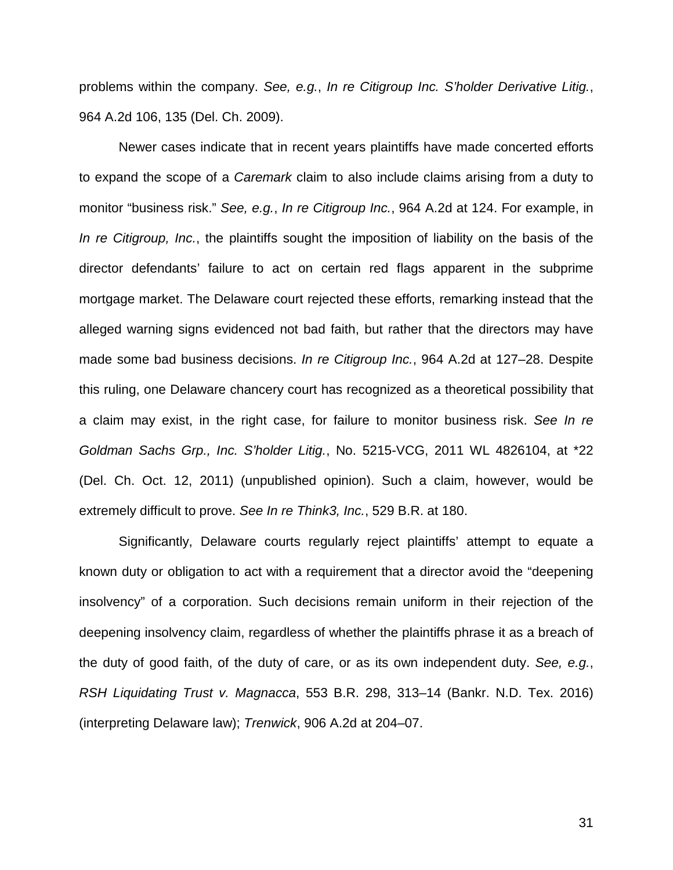problems within the company. *See, e.g.*, *In re Citigroup Inc. S'holder Derivative Litig.*, 964 A.2d 106, 135 (Del. Ch. 2009).

Newer cases indicate that in recent years plaintiffs have made concerted efforts to expand the scope of a *Caremark* claim to also include claims arising from a duty to monitor "business risk." *See, e.g.*, *In re Citigroup Inc.*, 964 A.2d at 124. For example, in *In re Citigroup, Inc.*, the plaintiffs sought the imposition of liability on the basis of the director defendants' failure to act on certain red flags apparent in the subprime mortgage market. The Delaware court rejected these efforts, remarking instead that the alleged warning signs evidenced not bad faith, but rather that the directors may have made some bad business decisions. *In re Citigroup Inc.*, 964 A.2d at 127–28. Despite this ruling, one Delaware chancery court has recognized as a theoretical possibility that a claim may exist, in the right case, for failure to monitor business risk. *See In re Goldman Sachs Grp., Inc. S'holder Litig.*, No. 5215-VCG, 2011 WL 4826104, at \*22 (Del. Ch. Oct. 12, 2011) (unpublished opinion). Such a claim, however, would be extremely difficult to prove. *See In re Think3, Inc.*, 529 B.R. at 180.

Significantly, Delaware courts regularly reject plaintiffs' attempt to equate a known duty or obligation to act with a requirement that a director avoid the "deepening insolvency" of a corporation. Such decisions remain uniform in their rejection of the deepening insolvency claim, regardless of whether the plaintiffs phrase it as a breach of the duty of good faith, of the duty of care, or as its own independent duty. *See, e.g.*, *RSH Liquidating Trust v. Magnacca*, 553 B.R. 298, 313–14 (Bankr. N.D. Tex. 2016) (interpreting Delaware law); *Trenwick*, 906 A.2d at 204–07.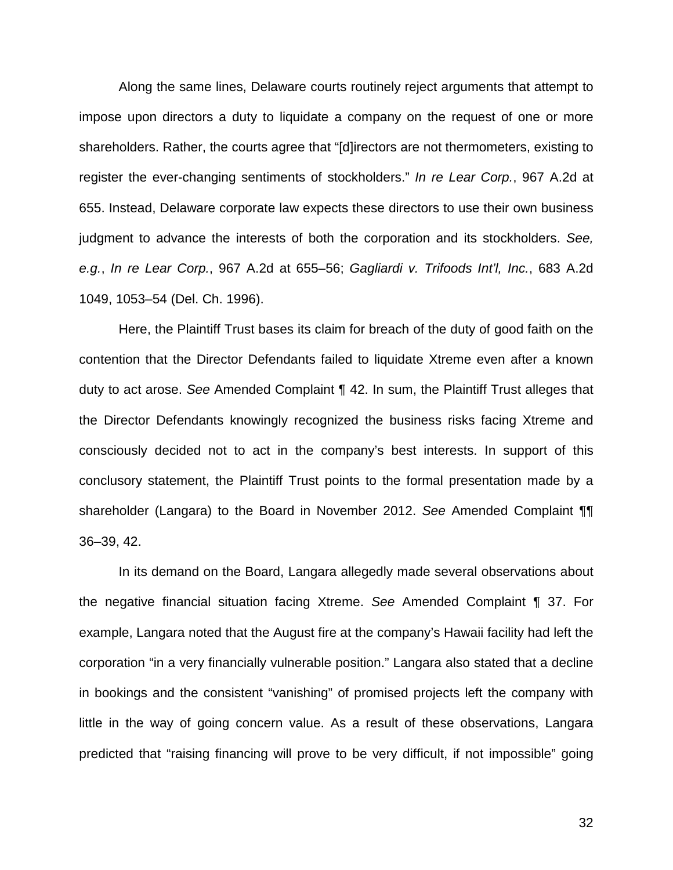Along the same lines, Delaware courts routinely reject arguments that attempt to impose upon directors a duty to liquidate a company on the request of one or more shareholders. Rather, the courts agree that "[d]irectors are not thermometers, existing to register the ever-changing sentiments of stockholders." *In re Lear Corp.*, 967 A.2d at 655. Instead, Delaware corporate law expects these directors to use their own business judgment to advance the interests of both the corporation and its stockholders. *See, e.g.*, *In re Lear Corp.*, 967 A.2d at 655–56; *Gagliardi v. Trifoods Int'l, Inc.*, 683 A.2d 1049, 1053–54 (Del. Ch. 1996).

Here, the Plaintiff Trust bases its claim for breach of the duty of good faith on the contention that the Director Defendants failed to liquidate Xtreme even after a known duty to act arose. *See* Amended Complaint ¶ 42. In sum, the Plaintiff Trust alleges that the Director Defendants knowingly recognized the business risks facing Xtreme and consciously decided not to act in the company's best interests. In support of this conclusory statement, the Plaintiff Trust points to the formal presentation made by a shareholder (Langara) to the Board in November 2012. *See* Amended Complaint ¶¶ 36–39, 42.

In its demand on the Board, Langara allegedly made several observations about the negative financial situation facing Xtreme. *See* Amended Complaint ¶ 37. For example, Langara noted that the August fire at the company's Hawaii facility had left the corporation "in a very financially vulnerable position." Langara also stated that a decline in bookings and the consistent "vanishing" of promised projects left the company with little in the way of going concern value. As a result of these observations, Langara predicted that "raising financing will prove to be very difficult, if not impossible" going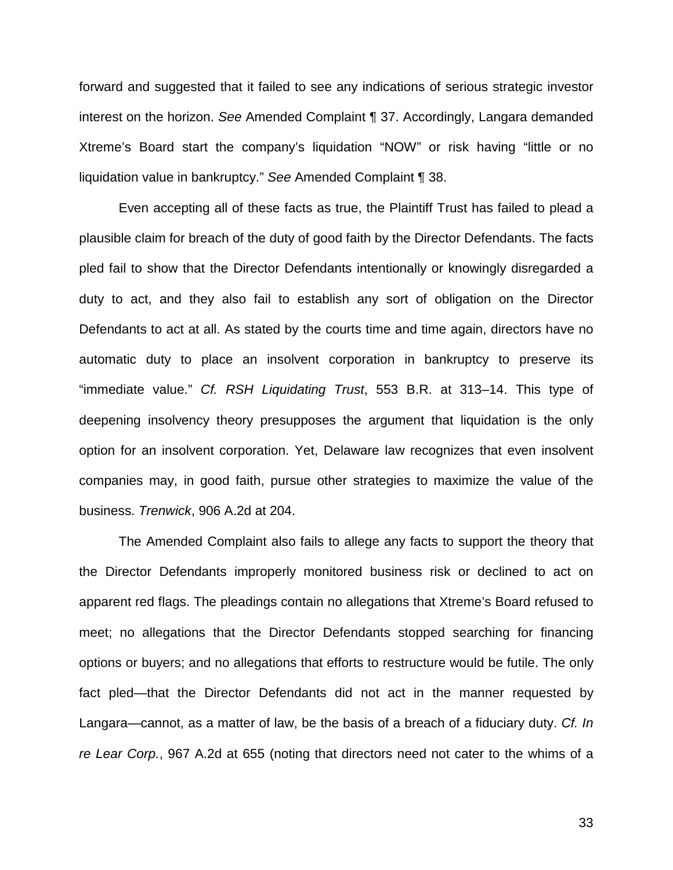forward and suggested that it failed to see any indications of serious strategic investor interest on the horizon. *See* Amended Complaint ¶ 37. Accordingly, Langara demanded Xtreme's Board start the company's liquidation "NOW" or risk having "little or no liquidation value in bankruptcy." *See* Amended Complaint ¶ 38.

Even accepting all of these facts as true, the Plaintiff Trust has failed to plead a plausible claim for breach of the duty of good faith by the Director Defendants. The facts pled fail to show that the Director Defendants intentionally or knowingly disregarded a duty to act, and they also fail to establish any sort of obligation on the Director Defendants to act at all. As stated by the courts time and time again, directors have no automatic duty to place an insolvent corporation in bankruptcy to preserve its "immediate value." *Cf. RSH Liquidating Trust*, 553 B.R. at 313–14. This type of deepening insolvency theory presupposes the argument that liquidation is the only option for an insolvent corporation. Yet, Delaware law recognizes that even insolvent companies may, in good faith, pursue other strategies to maximize the value of the business. *Trenwick*, 906 A.2d at 204.

The Amended Complaint also fails to allege any facts to support the theory that the Director Defendants improperly monitored business risk or declined to act on apparent red flags. The pleadings contain no allegations that Xtreme's Board refused to meet; no allegations that the Director Defendants stopped searching for financing options or buyers; and no allegations that efforts to restructure would be futile. The only fact pled—that the Director Defendants did not act in the manner requested by Langara—cannot, as a matter of law, be the basis of a breach of a fiduciary duty. *Cf. In re Lear Corp.*, 967 A.2d at 655 (noting that directors need not cater to the whims of a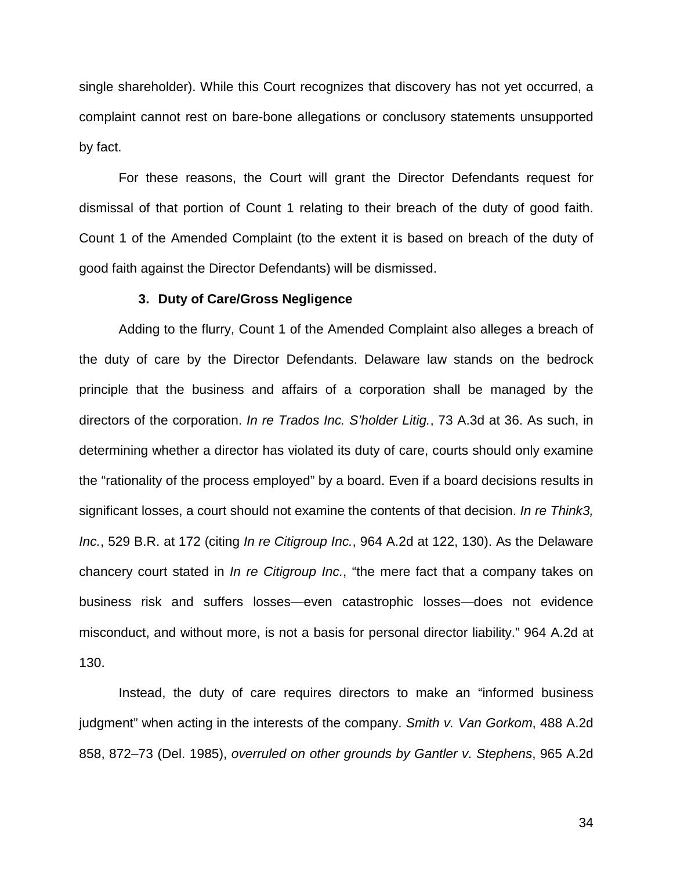single shareholder). While this Court recognizes that discovery has not yet occurred, a complaint cannot rest on bare-bone allegations or conclusory statements unsupported by fact.

For these reasons, the Court will grant the Director Defendants request for dismissal of that portion of Count 1 relating to their breach of the duty of good faith. Count 1 of the Amended Complaint (to the extent it is based on breach of the duty of good faith against the Director Defendants) will be dismissed.

#### **3. Duty of Care/Gross Negligence**

Adding to the flurry, Count 1 of the Amended Complaint also alleges a breach of the duty of care by the Director Defendants. Delaware law stands on the bedrock principle that the business and affairs of a corporation shall be managed by the directors of the corporation. *In re Trados Inc. S'holder Litig.*, 73 A.3d at 36. As such, in determining whether a director has violated its duty of care, courts should only examine the "rationality of the process employed" by a board. Even if a board decisions results in significant losses, a court should not examine the contents of that decision. *In re Think3, Inc.*, 529 B.R. at 172 (citing *In re Citigroup Inc.*, 964 A.2d at 122, 130). As the Delaware chancery court stated in *In re Citigroup Inc.*, "the mere fact that a company takes on business risk and suffers losses—even catastrophic losses—does not evidence misconduct, and without more, is not a basis for personal director liability." 964 A.2d at 130.

Instead, the duty of care requires directors to make an "informed business judgment" when acting in the interests of the company. *Smith v. Van Gorkom*, 488 A.2d 858, 872–73 (Del. 1985), *overruled on other grounds by Gantler v. Stephens*, 965 A.2d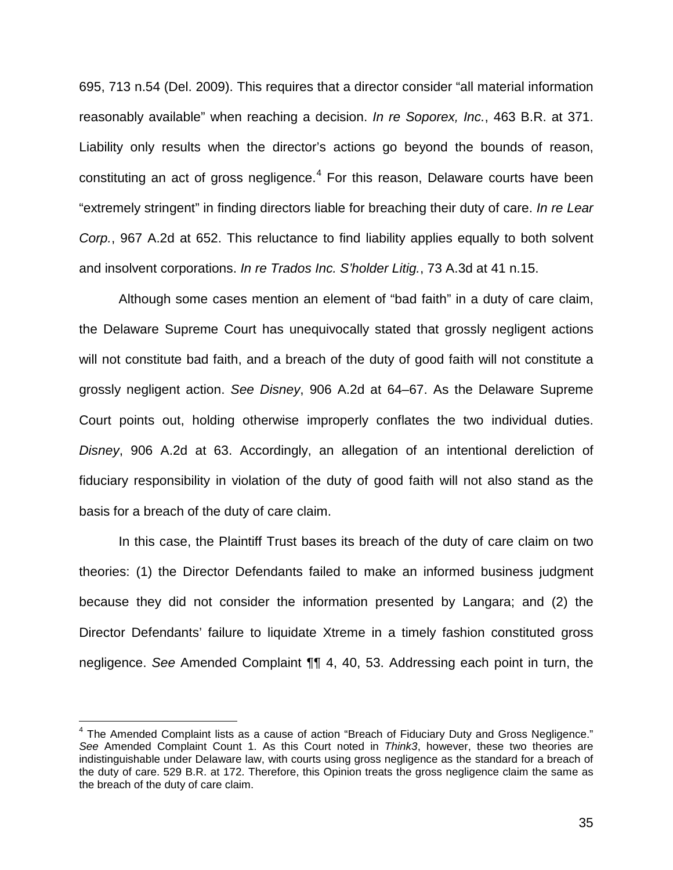695, 713 n.54 (Del. 2009). This requires that a director consider "all material information reasonably available" when reaching a decision. *In re Soporex, Inc.*, 463 B.R. at 371. Liability only results when the director's actions go beyond the bounds of reason, constituting an act of gross negligence. <sup>4</sup> For this reason, Delaware courts have been "extremely stringent" in finding directors liable for breaching their duty of care. *In re Lear Corp.*, 967 A.2d at 652. This reluctance to find liability applies equally to both solvent and insolvent corporations. *In re Trados Inc. S'holder Litig.*, 73 A.3d at 41 n.15.

 Although some cases mention an element of "bad faith" in a duty of care claim, the Delaware Supreme Court has unequivocally stated that grossly negligent actions will not constitute bad faith, and a breach of the duty of good faith will not constitute a grossly negligent action. *See Disney*, 906 A.2d at 64–67. As the Delaware Supreme Court points out, holding otherwise improperly conflates the two individual duties. *Disney*, 906 A.2d at 63. Accordingly, an allegation of an intentional dereliction of fiduciary responsibility in violation of the duty of good faith will not also stand as the basis for a breach of the duty of care claim.

In this case, the Plaintiff Trust bases its breach of the duty of care claim on two theories: (1) the Director Defendants failed to make an informed business judgment because they did not consider the information presented by Langara; and (2) the Director Defendants' failure to liquidate Xtreme in a timely fashion constituted gross negligence. *See* Amended Complaint ¶¶ 4, 40, 53. Addressing each point in turn, the

 $\overline{\phantom{a}}$ 

 $4$  The Amended Complaint lists as a cause of action "Breach of Fiduciary Duty and Gross Negligence." *See* Amended Complaint Count 1. As this Court noted in *Think3*, however, these two theories are indistinguishable under Delaware law, with courts using gross negligence as the standard for a breach of the duty of care. 529 B.R. at 172. Therefore, this Opinion treats the gross negligence claim the same as the breach of the duty of care claim.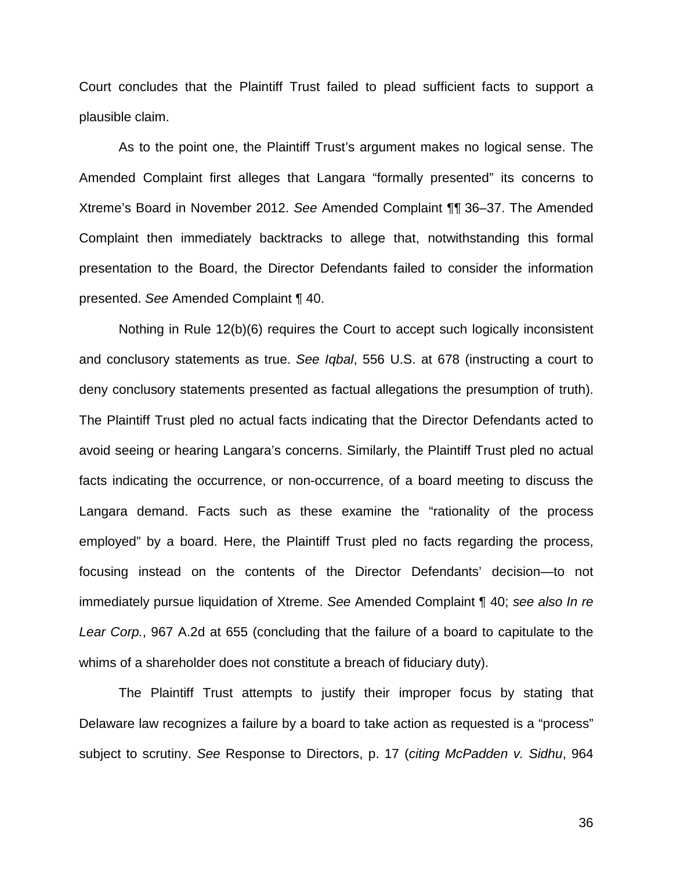Court concludes that the Plaintiff Trust failed to plead sufficient facts to support a plausible claim.

As to the point one, the Plaintiff Trust's argument makes no logical sense. The Amended Complaint first alleges that Langara "formally presented" its concerns to Xtreme's Board in November 2012. *See* Amended Complaint ¶¶ 36–37. The Amended Complaint then immediately backtracks to allege that, notwithstanding this formal presentation to the Board, the Director Defendants failed to consider the information presented. *See* Amended Complaint ¶ 40.

Nothing in Rule 12(b)(6) requires the Court to accept such logically inconsistent and conclusory statements as true. *See Iqbal*, 556 U.S. at 678 (instructing a court to deny conclusory statements presented as factual allegations the presumption of truth). The Plaintiff Trust pled no actual facts indicating that the Director Defendants acted to avoid seeing or hearing Langara's concerns. Similarly, the Plaintiff Trust pled no actual facts indicating the occurrence, or non-occurrence, of a board meeting to discuss the Langara demand. Facts such as these examine the "rationality of the process employed" by a board. Here, the Plaintiff Trust pled no facts regarding the process, focusing instead on the contents of the Director Defendants' decision—to not immediately pursue liquidation of Xtreme. *See* Amended Complaint ¶ 40; *see also In re Lear Corp.*, 967 A.2d at 655 (concluding that the failure of a board to capitulate to the whims of a shareholder does not constitute a breach of fiduciary duty).

The Plaintiff Trust attempts to justify their improper focus by stating that Delaware law recognizes a failure by a board to take action as requested is a "process" subject to scrutiny. *See* Response to Directors, p. 17 (*citing McPadden v. Sidhu*, 964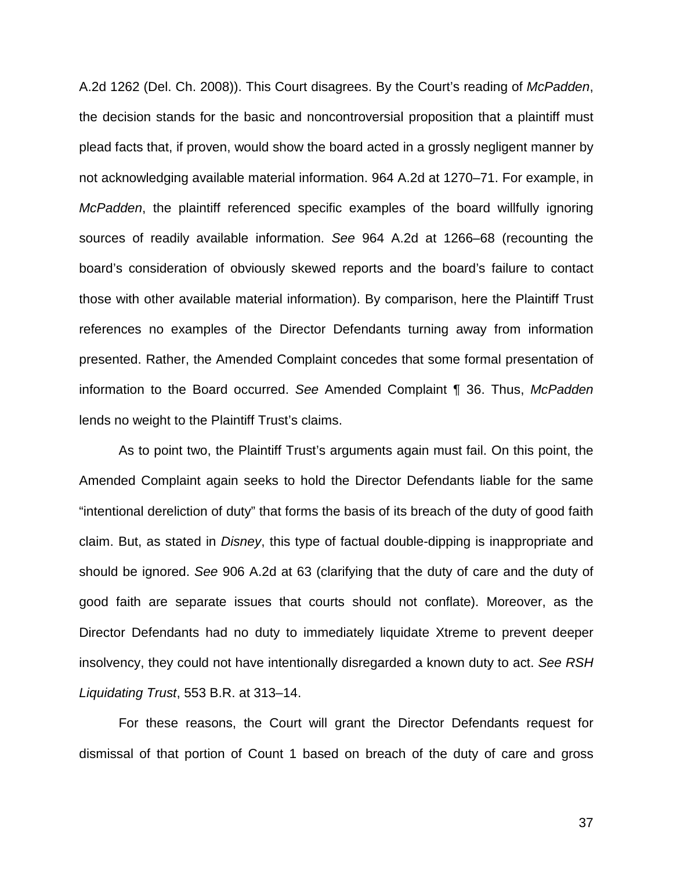A.2d 1262 (Del. Ch. 2008)). This Court disagrees. By the Court's reading of *McPadden*, the decision stands for the basic and noncontroversial proposition that a plaintiff must plead facts that, if proven, would show the board acted in a grossly negligent manner by not acknowledging available material information. 964 A.2d at 1270–71. For example, in *McPadden*, the plaintiff referenced specific examples of the board willfully ignoring sources of readily available information. *See* 964 A.2d at 1266–68 (recounting the board's consideration of obviously skewed reports and the board's failure to contact those with other available material information). By comparison, here the Plaintiff Trust references no examples of the Director Defendants turning away from information presented. Rather, the Amended Complaint concedes that some formal presentation of information to the Board occurred. *See* Amended Complaint ¶ 36. Thus, *McPadden* lends no weight to the Plaintiff Trust's claims.

As to point two, the Plaintiff Trust's arguments again must fail. On this point, the Amended Complaint again seeks to hold the Director Defendants liable for the same "intentional dereliction of duty" that forms the basis of its breach of the duty of good faith claim. But, as stated in *Disney*, this type of factual double-dipping is inappropriate and should be ignored. *See* 906 A.2d at 63 (clarifying that the duty of care and the duty of good faith are separate issues that courts should not conflate). Moreover, as the Director Defendants had no duty to immediately liquidate Xtreme to prevent deeper insolvency, they could not have intentionally disregarded a known duty to act. *See RSH Liquidating Trust*, 553 B.R. at 313–14.

For these reasons, the Court will grant the Director Defendants request for dismissal of that portion of Count 1 based on breach of the duty of care and gross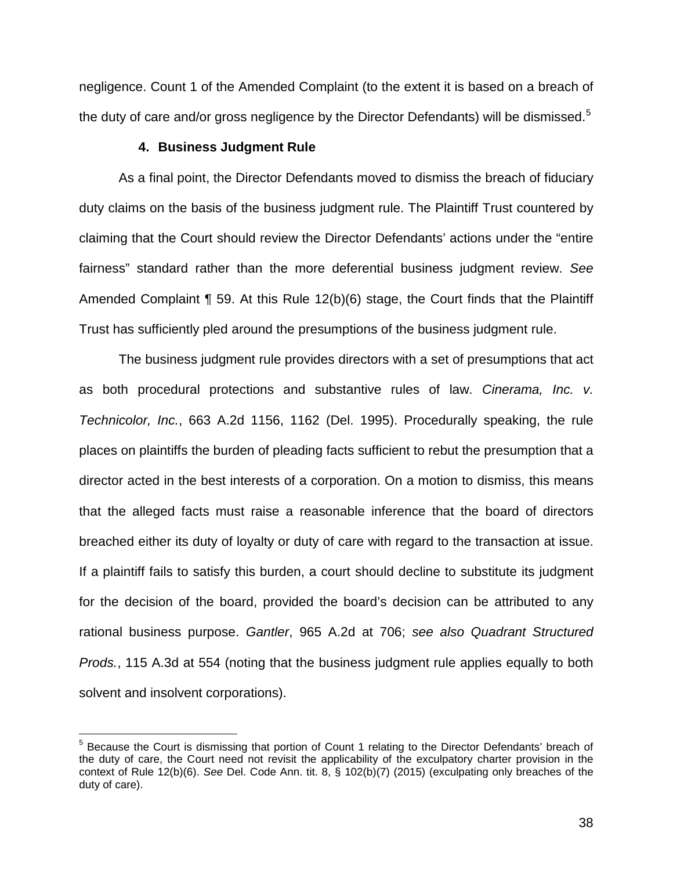negligence. Count 1 of the Amended Complaint (to the extent it is based on a breach of the duty of care and/or gross negligence by the Director Defendants) will be dismissed.<sup>5</sup>

#### **4. Business Judgment Rule**

As a final point, the Director Defendants moved to dismiss the breach of fiduciary duty claims on the basis of the business judgment rule. The Plaintiff Trust countered by claiming that the Court should review the Director Defendants' actions under the "entire fairness" standard rather than the more deferential business judgment review. *See*  Amended Complaint ¶ 59. At this Rule 12(b)(6) stage, the Court finds that the Plaintiff Trust has sufficiently pled around the presumptions of the business judgment rule.

The business judgment rule provides directors with a set of presumptions that act as both procedural protections and substantive rules of law. *Cinerama, Inc. v. Technicolor, Inc.*, 663 A.2d 1156, 1162 (Del. 1995). Procedurally speaking, the rule places on plaintiffs the burden of pleading facts sufficient to rebut the presumption that a director acted in the best interests of a corporation. On a motion to dismiss, this means that the alleged facts must raise a reasonable inference that the board of directors breached either its duty of loyalty or duty of care with regard to the transaction at issue. If a plaintiff fails to satisfy this burden, a court should decline to substitute its judgment for the decision of the board, provided the board's decision can be attributed to any rational business purpose. *Gantler*, 965 A.2d at 706; *see also Quadrant Structured Prods.*, 115 A.3d at 554 (noting that the business judgment rule applies equally to both solvent and insolvent corporations).

 $\overline{a}$ 

<sup>&</sup>lt;sup>5</sup> Because the Court is dismissing that portion of Count 1 relating to the Director Defendants' breach of the duty of care, the Court need not revisit the applicability of the exculpatory charter provision in the context of Rule 12(b)(6). *See* Del. Code Ann. tit. 8, § 102(b)(7) (2015) (exculpating only breaches of the duty of care).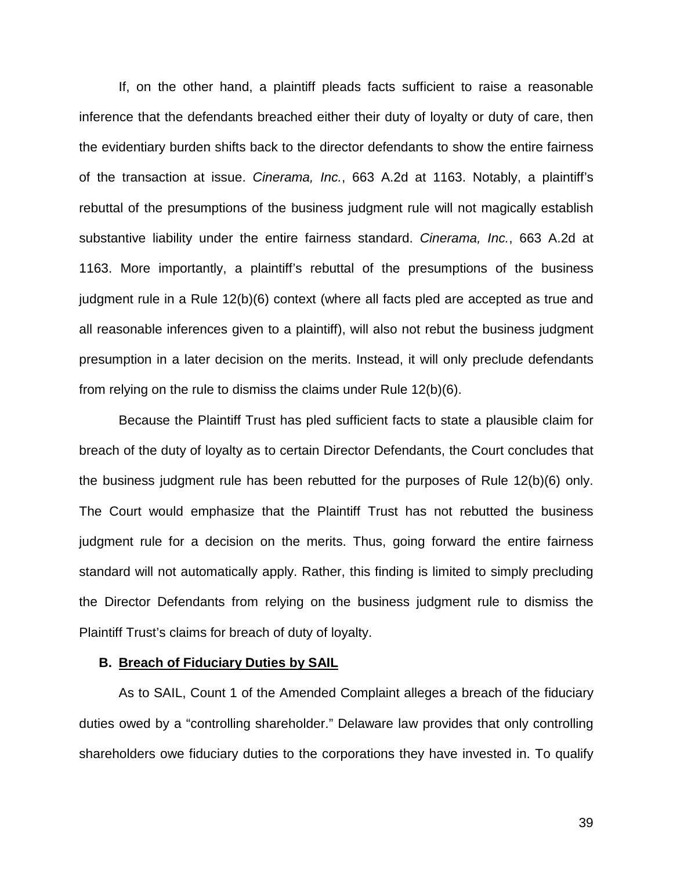If, on the other hand, a plaintiff pleads facts sufficient to raise a reasonable inference that the defendants breached either their duty of loyalty or duty of care, then the evidentiary burden shifts back to the director defendants to show the entire fairness of the transaction at issue. *Cinerama, Inc.*, 663 A.2d at 1163. Notably, a plaintiff's rebuttal of the presumptions of the business judgment rule will not magically establish substantive liability under the entire fairness standard. *Cinerama, Inc.*, 663 A.2d at 1163. More importantly, a plaintiff's rebuttal of the presumptions of the business judgment rule in a Rule 12(b)(6) context (where all facts pled are accepted as true and all reasonable inferences given to a plaintiff), will also not rebut the business judgment presumption in a later decision on the merits. Instead, it will only preclude defendants from relying on the rule to dismiss the claims under Rule 12(b)(6).

Because the Plaintiff Trust has pled sufficient facts to state a plausible claim for breach of the duty of loyalty as to certain Director Defendants, the Court concludes that the business judgment rule has been rebutted for the purposes of Rule 12(b)(6) only. The Court would emphasize that the Plaintiff Trust has not rebutted the business judgment rule for a decision on the merits. Thus, going forward the entire fairness standard will not automatically apply. Rather, this finding is limited to simply precluding the Director Defendants from relying on the business judgment rule to dismiss the Plaintiff Trust's claims for breach of duty of loyalty.

#### **B. Breach of Fiduciary Duties by SAIL**

As to SAIL, Count 1 of the Amended Complaint alleges a breach of the fiduciary duties owed by a "controlling shareholder." Delaware law provides that only controlling shareholders owe fiduciary duties to the corporations they have invested in. To qualify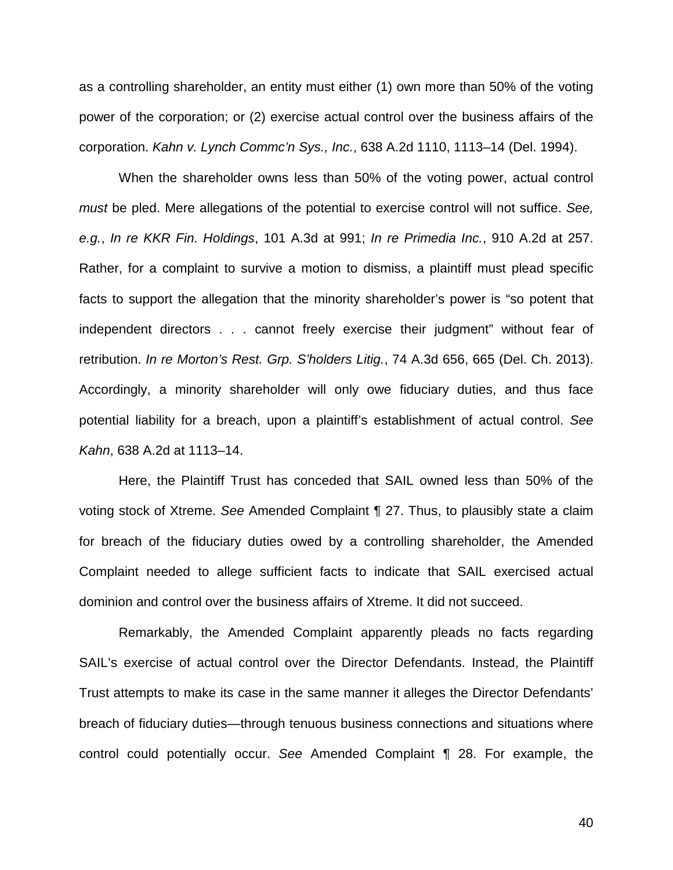as a controlling shareholder, an entity must either (1) own more than 50% of the voting power of the corporation; or (2) exercise actual control over the business affairs of the corporation. *Kahn v. Lynch Commc'n Sys., Inc.*, 638 A.2d 1110, 1113–14 (Del. 1994).

When the shareholder owns less than 50% of the voting power, actual control *must* be pled. Mere allegations of the potential to exercise control will not suffice. *See, e.g.*, *In re KKR Fin. Holdings*, 101 A.3d at 991; *In re Primedia Inc.*, 910 A.2d at 257. Rather, for a complaint to survive a motion to dismiss, a plaintiff must plead specific facts to support the allegation that the minority shareholder's power is "so potent that independent directors . . . cannot freely exercise their judgment" without fear of retribution. *In re Morton's Rest. Grp. S'holders Litig.*, 74 A.3d 656, 665 (Del. Ch. 2013). Accordingly, a minority shareholder will only owe fiduciary duties, and thus face potential liability for a breach, upon a plaintiff's establishment of actual control. *See Kahn*, 638 A.2d at 1113–14.

Here, the Plaintiff Trust has conceded that SAIL owned less than 50% of the voting stock of Xtreme. *See* Amended Complaint ¶ 27. Thus, to plausibly state a claim for breach of the fiduciary duties owed by a controlling shareholder, the Amended Complaint needed to allege sufficient facts to indicate that SAIL exercised actual dominion and control over the business affairs of Xtreme. It did not succeed.

Remarkably, the Amended Complaint apparently pleads no facts regarding SAIL's exercise of actual control over the Director Defendants. Instead, the Plaintiff Trust attempts to make its case in the same manner it alleges the Director Defendants' breach of fiduciary duties—through tenuous business connections and situations where control could potentially occur. *See* Amended Complaint ¶ 28. For example, the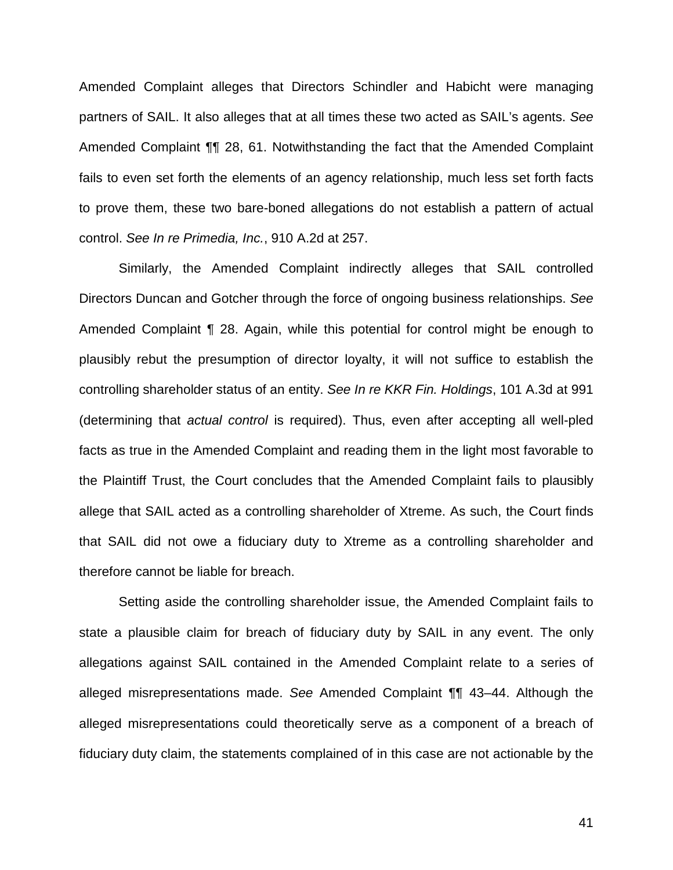Amended Complaint alleges that Directors Schindler and Habicht were managing partners of SAIL. It also alleges that at all times these two acted as SAIL's agents. *See*  Amended Complaint ¶¶ 28, 61. Notwithstanding the fact that the Amended Complaint fails to even set forth the elements of an agency relationship, much less set forth facts to prove them, these two bare-boned allegations do not establish a pattern of actual control. *See In re Primedia, Inc.*, 910 A.2d at 257.

Similarly, the Amended Complaint indirectly alleges that SAIL controlled Directors Duncan and Gotcher through the force of ongoing business relationships. *See*  Amended Complaint ¶ 28. Again, while this potential for control might be enough to plausibly rebut the presumption of director loyalty, it will not suffice to establish the controlling shareholder status of an entity. *See In re KKR Fin. Holdings*, 101 A.3d at 991 (determining that *actual control* is required). Thus, even after accepting all well-pled facts as true in the Amended Complaint and reading them in the light most favorable to the Plaintiff Trust, the Court concludes that the Amended Complaint fails to plausibly allege that SAIL acted as a controlling shareholder of Xtreme. As such, the Court finds that SAIL did not owe a fiduciary duty to Xtreme as a controlling shareholder and therefore cannot be liable for breach.

Setting aside the controlling shareholder issue, the Amended Complaint fails to state a plausible claim for breach of fiduciary duty by SAIL in any event. The only allegations against SAIL contained in the Amended Complaint relate to a series of alleged misrepresentations made. *See* Amended Complaint ¶¶ 43–44. Although the alleged misrepresentations could theoretically serve as a component of a breach of fiduciary duty claim, the statements complained of in this case are not actionable by the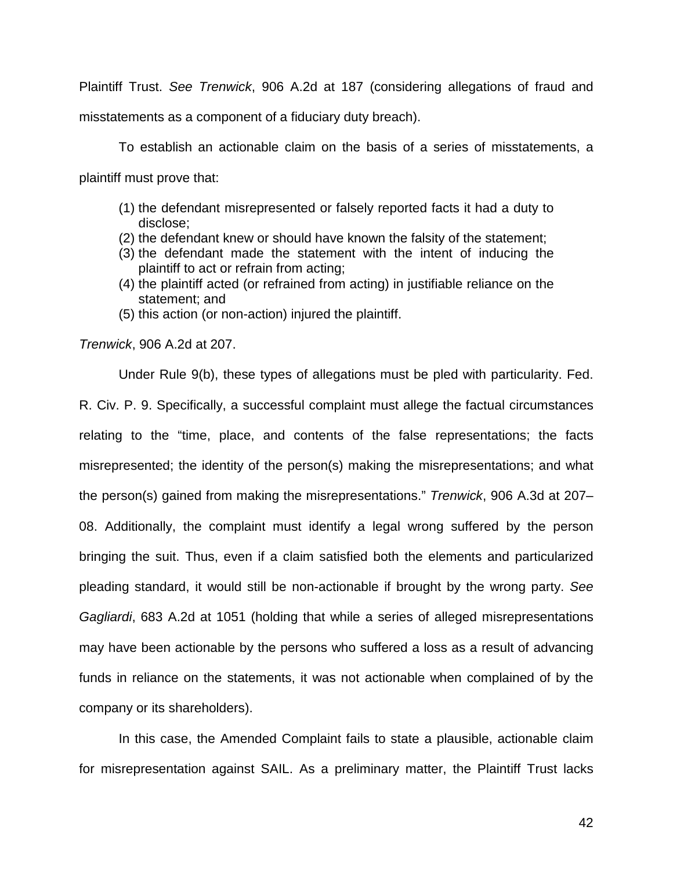Plaintiff Trust. *See Trenwick*, 906 A.2d at 187 (considering allegations of fraud and

misstatements as a component of a fiduciary duty breach).

To establish an actionable claim on the basis of a series of misstatements, a plaintiff must prove that:

- (1) the defendant misrepresented or falsely reported facts it had a duty to disclose;
- (2) the defendant knew or should have known the falsity of the statement;
- (3) the defendant made the statement with the intent of inducing the plaintiff to act or refrain from acting;
- (4) the plaintiff acted (or refrained from acting) in justifiable reliance on the statement; and
- (5) this action (or non-action) injured the plaintiff.

*Trenwick*, 906 A.2d at 207.

Under Rule 9(b), these types of allegations must be pled with particularity. Fed. R. Civ. P. 9. Specifically, a successful complaint must allege the factual circumstances relating to the "time, place, and contents of the false representations; the facts misrepresented; the identity of the person(s) making the misrepresentations; and what the person(s) gained from making the misrepresentations." *Trenwick*, 906 A.3d at 207– 08. Additionally, the complaint must identify a legal wrong suffered by the person bringing the suit. Thus, even if a claim satisfied both the elements and particularized pleading standard, it would still be non-actionable if brought by the wrong party. *See Gagliardi*, 683 A.2d at 1051 (holding that while a series of alleged misrepresentations may have been actionable by the persons who suffered a loss as a result of advancing funds in reliance on the statements, it was not actionable when complained of by the company or its shareholders).

In this case, the Amended Complaint fails to state a plausible, actionable claim for misrepresentation against SAIL. As a preliminary matter, the Plaintiff Trust lacks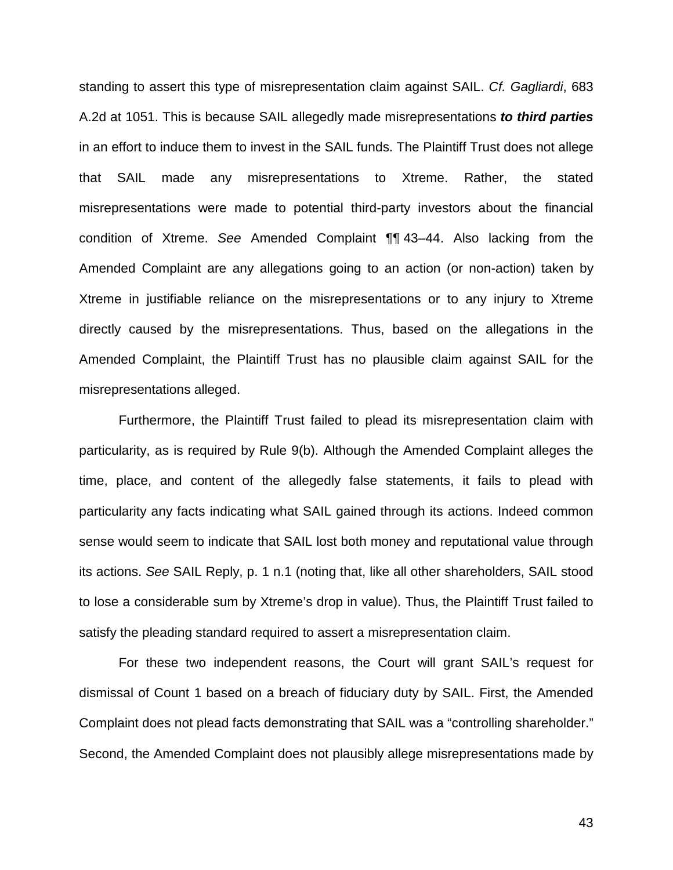standing to assert this type of misrepresentation claim against SAIL. *Cf. Gagliardi*, 683 A.2d at 1051. This is because SAIL allegedly made misrepresentations *to third parties* in an effort to induce them to invest in the SAIL funds. The Plaintiff Trust does not allege that SAIL made any misrepresentations to Xtreme. Rather, the stated misrepresentations were made to potential third-party investors about the financial condition of Xtreme. *See* Amended Complaint ¶¶ 43–44. Also lacking from the Amended Complaint are any allegations going to an action (or non-action) taken by Xtreme in justifiable reliance on the misrepresentations or to any injury to Xtreme directly caused by the misrepresentations. Thus, based on the allegations in the Amended Complaint, the Plaintiff Trust has no plausible claim against SAIL for the misrepresentations alleged.

Furthermore, the Plaintiff Trust failed to plead its misrepresentation claim with particularity, as is required by Rule 9(b). Although the Amended Complaint alleges the time, place, and content of the allegedly false statements, it fails to plead with particularity any facts indicating what SAIL gained through its actions. Indeed common sense would seem to indicate that SAIL lost both money and reputational value through its actions. *See* SAIL Reply, p. 1 n.1 (noting that, like all other shareholders, SAIL stood to lose a considerable sum by Xtreme's drop in value). Thus, the Plaintiff Trust failed to satisfy the pleading standard required to assert a misrepresentation claim.

For these two independent reasons, the Court will grant SAIL's request for dismissal of Count 1 based on a breach of fiduciary duty by SAIL. First, the Amended Complaint does not plead facts demonstrating that SAIL was a "controlling shareholder." Second, the Amended Complaint does not plausibly allege misrepresentations made by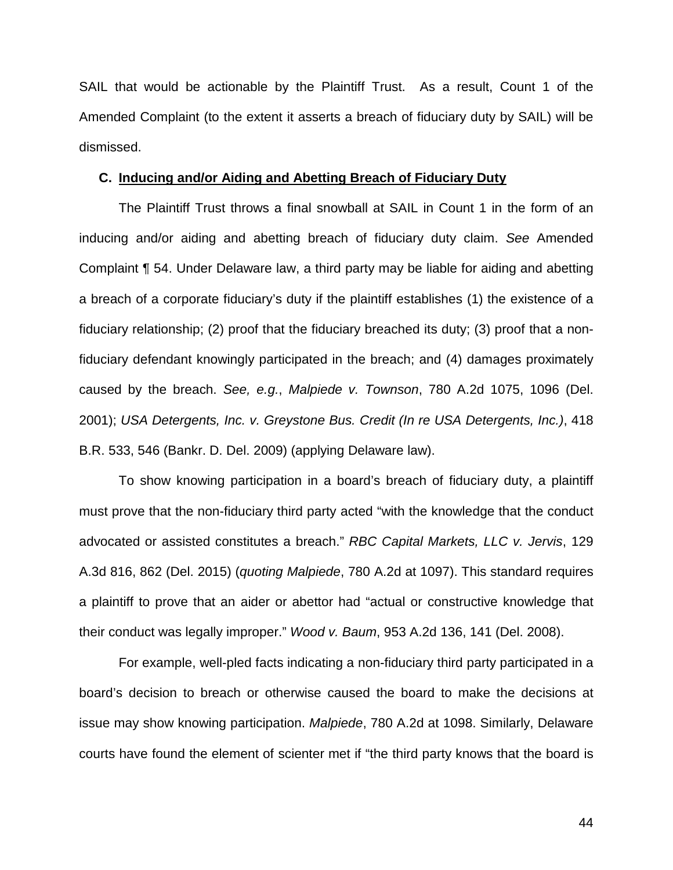SAIL that would be actionable by the Plaintiff Trust. As a result, Count 1 of the Amended Complaint (to the extent it asserts a breach of fiduciary duty by SAIL) will be dismissed.

#### **C. Inducing and/or Aiding and Abetting Breach of Fiduciary Duty**

 The Plaintiff Trust throws a final snowball at SAIL in Count 1 in the form of an inducing and/or aiding and abetting breach of fiduciary duty claim. *See* Amended Complaint ¶ 54. Under Delaware law, a third party may be liable for aiding and abetting a breach of a corporate fiduciary's duty if the plaintiff establishes (1) the existence of a fiduciary relationship; (2) proof that the fiduciary breached its duty; (3) proof that a nonfiduciary defendant knowingly participated in the breach; and (4) damages proximately caused by the breach. *See, e.g.*, *Malpiede v. Townson*, 780 A.2d 1075, 1096 (Del. 2001); *USA Detergents, Inc. v. Greystone Bus. Credit (In re USA Detergents, Inc.)*, 418 B.R. 533, 546 (Bankr. D. Del. 2009) (applying Delaware law).

To show knowing participation in a board's breach of fiduciary duty, a plaintiff must prove that the non-fiduciary third party acted "with the knowledge that the conduct advocated or assisted constitutes a breach." *RBC Capital Markets, LLC v. Jervis*, 129 A.3d 816, 862 (Del. 2015) (*quoting Malpiede*, 780 A.2d at 1097). This standard requires a plaintiff to prove that an aider or abettor had "actual or constructive knowledge that their conduct was legally improper." *Wood v. Baum*, 953 A.2d 136, 141 (Del. 2008).

For example, well-pled facts indicating a non-fiduciary third party participated in a board's decision to breach or otherwise caused the board to make the decisions at issue may show knowing participation. *Malpiede*, 780 A.2d at 1098. Similarly, Delaware courts have found the element of scienter met if "the third party knows that the board is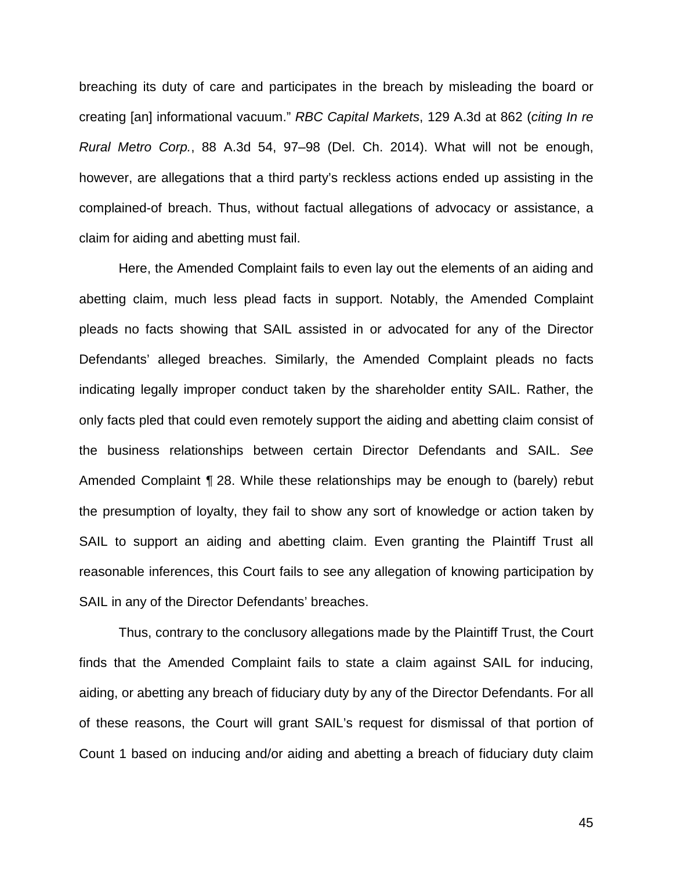breaching its duty of care and participates in the breach by misleading the board or creating [an] informational vacuum." *RBC Capital Markets*, 129 A.3d at 862 (*citing In re Rural Metro Corp.*, 88 A.3d 54, 97–98 (Del. Ch. 2014). What will not be enough, however, are allegations that a third party's reckless actions ended up assisting in the complained-of breach. Thus, without factual allegations of advocacy or assistance, a claim for aiding and abetting must fail.

Here, the Amended Complaint fails to even lay out the elements of an aiding and abetting claim, much less plead facts in support. Notably, the Amended Complaint pleads no facts showing that SAIL assisted in or advocated for any of the Director Defendants' alleged breaches. Similarly, the Amended Complaint pleads no facts indicating legally improper conduct taken by the shareholder entity SAIL. Rather, the only facts pled that could even remotely support the aiding and abetting claim consist of the business relationships between certain Director Defendants and SAIL. *See* Amended Complaint ¶ 28. While these relationships may be enough to (barely) rebut the presumption of loyalty, they fail to show any sort of knowledge or action taken by SAIL to support an aiding and abetting claim. Even granting the Plaintiff Trust all reasonable inferences, this Court fails to see any allegation of knowing participation by SAIL in any of the Director Defendants' breaches.

Thus, contrary to the conclusory allegations made by the Plaintiff Trust, the Court finds that the Amended Complaint fails to state a claim against SAIL for inducing, aiding, or abetting any breach of fiduciary duty by any of the Director Defendants. For all of these reasons, the Court will grant SAIL's request for dismissal of that portion of Count 1 based on inducing and/or aiding and abetting a breach of fiduciary duty claim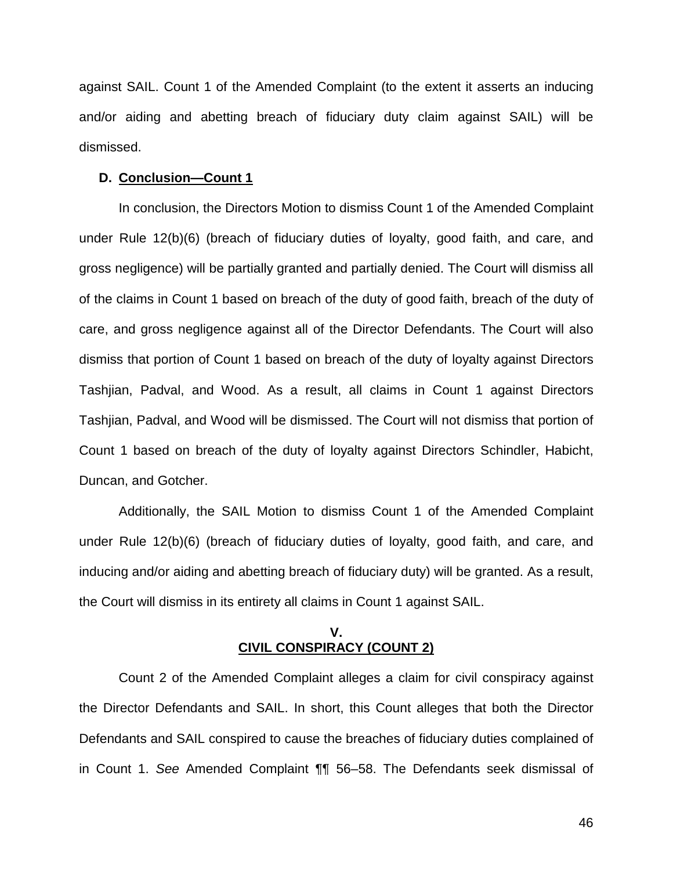against SAIL. Count 1 of the Amended Complaint (to the extent it asserts an inducing and/or aiding and abetting breach of fiduciary duty claim against SAIL) will be dismissed.

#### **D. Conclusion—Count 1**

In conclusion, the Directors Motion to dismiss Count 1 of the Amended Complaint under Rule 12(b)(6) (breach of fiduciary duties of loyalty, good faith, and care, and gross negligence) will be partially granted and partially denied. The Court will dismiss all of the claims in Count 1 based on breach of the duty of good faith, breach of the duty of care, and gross negligence against all of the Director Defendants. The Court will also dismiss that portion of Count 1 based on breach of the duty of loyalty against Directors Tashjian, Padval, and Wood. As a result, all claims in Count 1 against Directors Tashjian, Padval, and Wood will be dismissed. The Court will not dismiss that portion of Count 1 based on breach of the duty of loyalty against Directors Schindler, Habicht, Duncan, and Gotcher.

Additionally, the SAIL Motion to dismiss Count 1 of the Amended Complaint under Rule 12(b)(6) (breach of fiduciary duties of loyalty, good faith, and care, and inducing and/or aiding and abetting breach of fiduciary duty) will be granted. As a result, the Court will dismiss in its entirety all claims in Count 1 against SAIL.

## **V. CIVIL CONSPIRACY (COUNT 2)**

Count 2 of the Amended Complaint alleges a claim for civil conspiracy against the Director Defendants and SAIL. In short, this Count alleges that both the Director Defendants and SAIL conspired to cause the breaches of fiduciary duties complained of in Count 1. *See* Amended Complaint ¶¶ 56–58. The Defendants seek dismissal of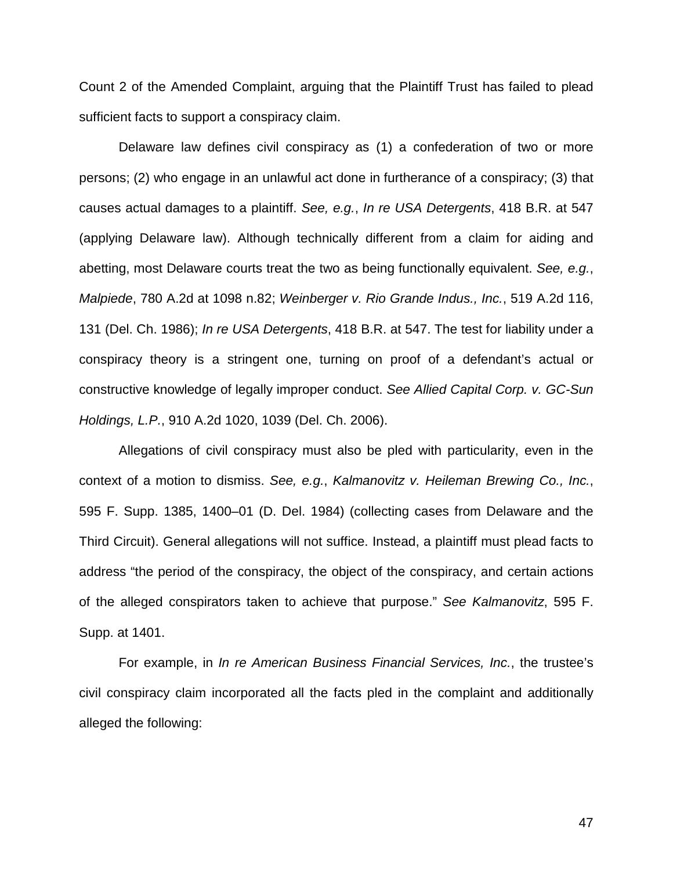Count 2 of the Amended Complaint, arguing that the Plaintiff Trust has failed to plead sufficient facts to support a conspiracy claim.

Delaware law defines civil conspiracy as (1) a confederation of two or more persons; (2) who engage in an unlawful act done in furtherance of a conspiracy; (3) that causes actual damages to a plaintiff. *See, e.g.*, *In re USA Detergents*, 418 B.R. at 547 (applying Delaware law). Although technically different from a claim for aiding and abetting, most Delaware courts treat the two as being functionally equivalent. *See, e.g.*, *Malpiede*, 780 A.2d at 1098 n.82; *Weinberger v. Rio Grande Indus., Inc.*, 519 A.2d 116, 131 (Del. Ch. 1986); *In re USA Detergents*, 418 B.R. at 547. The test for liability under a conspiracy theory is a stringent one, turning on proof of a defendant's actual or constructive knowledge of legally improper conduct. *See Allied Capital Corp. v. GC-Sun Holdings, L.P.*, 910 A.2d 1020, 1039 (Del. Ch. 2006).

Allegations of civil conspiracy must also be pled with particularity, even in the context of a motion to dismiss. *See, e.g.*, *Kalmanovitz v. Heileman Brewing Co., Inc.*, 595 F. Supp. 1385, 1400–01 (D. Del. 1984) (collecting cases from Delaware and the Third Circuit). General allegations will not suffice. Instead, a plaintiff must plead facts to address "the period of the conspiracy, the object of the conspiracy, and certain actions of the alleged conspirators taken to achieve that purpose." *See Kalmanovitz*, 595 F. Supp. at 1401.

For example, in *In re American Business Financial Services, Inc.*, the trustee's civil conspiracy claim incorporated all the facts pled in the complaint and additionally alleged the following: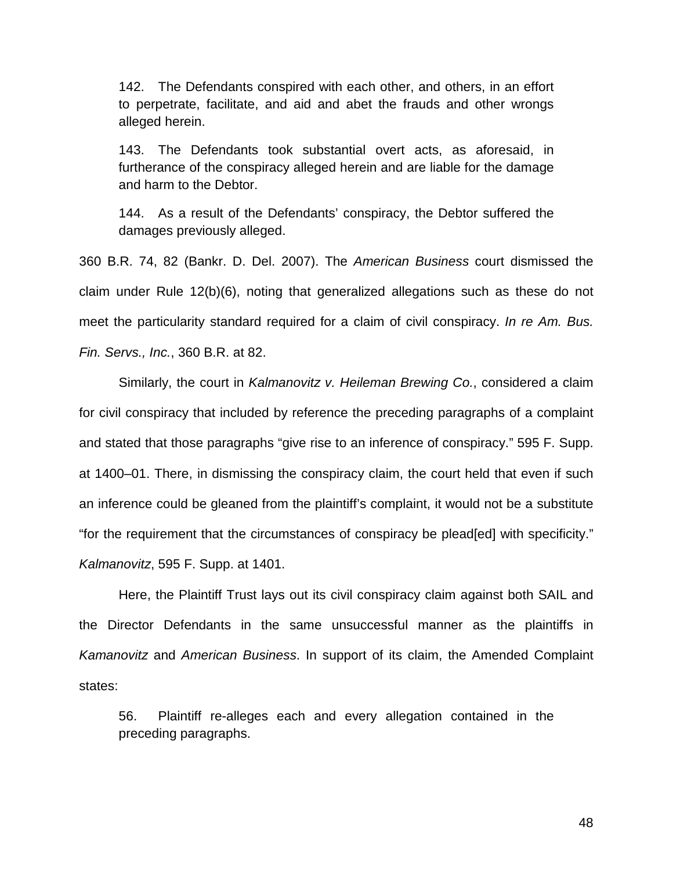142. The Defendants conspired with each other, and others, in an effort to perpetrate, facilitate, and aid and abet the frauds and other wrongs alleged herein.

143. The Defendants took substantial overt acts, as aforesaid, in furtherance of the conspiracy alleged herein and are liable for the damage and harm to the Debtor.

144. As a result of the Defendants' conspiracy, the Debtor suffered the damages previously alleged.

360 B.R. 74, 82 (Bankr. D. Del. 2007). The *American Business* court dismissed the claim under Rule 12(b)(6), noting that generalized allegations such as these do not meet the particularity standard required for a claim of civil conspiracy. *In re Am. Bus. Fin. Servs., Inc.*, 360 B.R. at 82.

Similarly, the court in *Kalmanovitz v. Heileman Brewing Co.*, considered a claim for civil conspiracy that included by reference the preceding paragraphs of a complaint and stated that those paragraphs "give rise to an inference of conspiracy." 595 F. Supp. at 1400–01. There, in dismissing the conspiracy claim, the court held that even if such an inference could be gleaned from the plaintiff's complaint, it would not be a substitute "for the requirement that the circumstances of conspiracy be plead[ed] with specificity." *Kalmanovitz*, 595 F. Supp. at 1401.

Here, the Plaintiff Trust lays out its civil conspiracy claim against both SAIL and the Director Defendants in the same unsuccessful manner as the plaintiffs in *Kamanovitz* and *American Business*. In support of its claim, the Amended Complaint states:

56. Plaintiff re-alleges each and every allegation contained in the preceding paragraphs.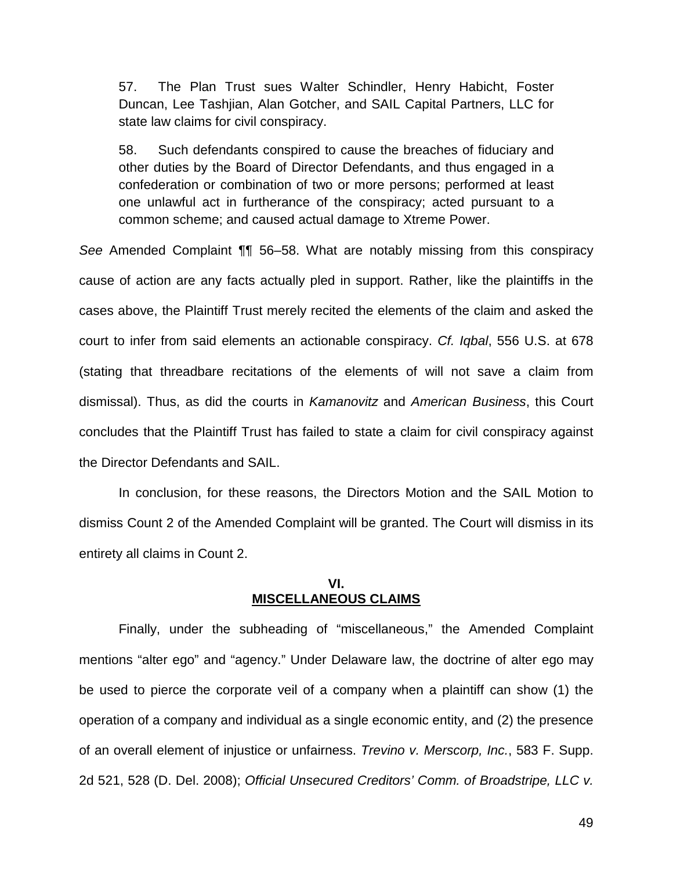57. The Plan Trust sues Walter Schindler, Henry Habicht, Foster Duncan, Lee Tashjian, Alan Gotcher, and SAIL Capital Partners, LLC for state law claims for civil conspiracy.

58. Such defendants conspired to cause the breaches of fiduciary and other duties by the Board of Director Defendants, and thus engaged in a confederation or combination of two or more persons; performed at least one unlawful act in furtherance of the conspiracy; acted pursuant to a common scheme; and caused actual damage to Xtreme Power.

*See* Amended Complaint ¶¶ 56–58. What are notably missing from this conspiracy cause of action are any facts actually pled in support. Rather, like the plaintiffs in the cases above, the Plaintiff Trust merely recited the elements of the claim and asked the court to infer from said elements an actionable conspiracy. *Cf. Iqbal*, 556 U.S. at 678 (stating that threadbare recitations of the elements of will not save a claim from dismissal). Thus, as did the courts in *Kamanovitz* and *American Business*, this Court concludes that the Plaintiff Trust has failed to state a claim for civil conspiracy against the Director Defendants and SAIL.

In conclusion, for these reasons, the Directors Motion and the SAIL Motion to dismiss Count 2 of the Amended Complaint will be granted. The Court will dismiss in its entirety all claims in Count 2.

## **VI. MISCELLANEOUS CLAIMS**

Finally, under the subheading of "miscellaneous," the Amended Complaint mentions "alter ego" and "agency." Under Delaware law, the doctrine of alter ego may be used to pierce the corporate veil of a company when a plaintiff can show (1) the operation of a company and individual as a single economic entity, and (2) the presence of an overall element of injustice or unfairness. *Trevino v. Merscorp, Inc.*, 583 F. Supp. 2d 521, 528 (D. Del. 2008); *Official Unsecured Creditors' Comm. of Broadstripe, LLC v.*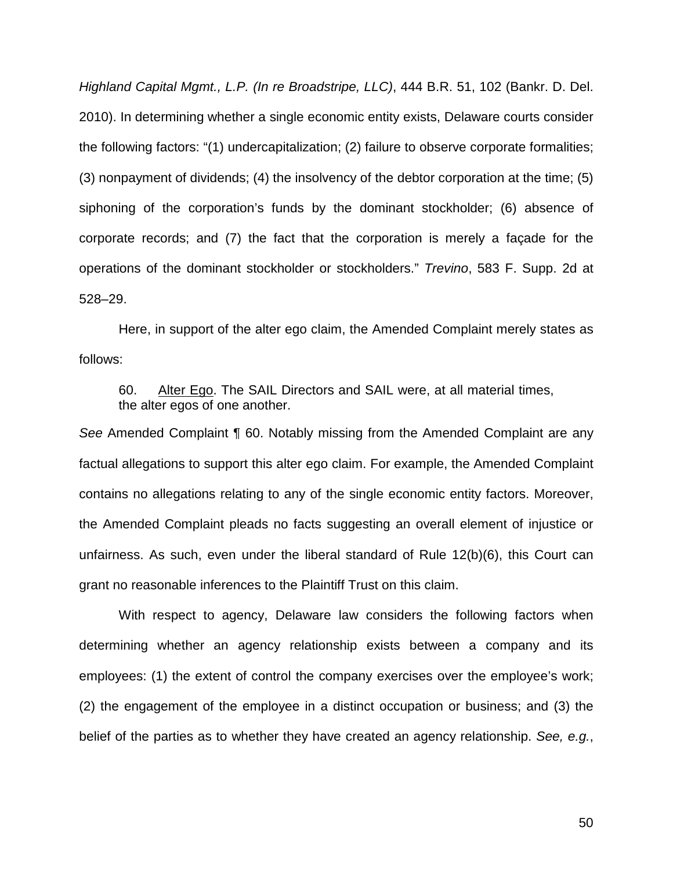*Highland Capital Mgmt., L.P. (In re Broadstripe, LLC)*, 444 B.R. 51, 102 (Bankr. D. Del. 2010). In determining whether a single economic entity exists, Delaware courts consider the following factors: "(1) undercapitalization; (2) failure to observe corporate formalities; (3) nonpayment of dividends; (4) the insolvency of the debtor corporation at the time; (5) siphoning of the corporation's funds by the dominant stockholder; (6) absence of corporate records; and (7) the fact that the corporation is merely a façade for the operations of the dominant stockholder or stockholders." *Trevino*, 583 F. Supp. 2d at 528–29.

Here, in support of the alter ego claim, the Amended Complaint merely states as follows:

 60. Alter Ego. The SAIL Directors and SAIL were, at all material times, the alter egos of one another.

*See* Amended Complaint ¶ 60. Notably missing from the Amended Complaint are any factual allegations to support this alter ego claim. For example, the Amended Complaint contains no allegations relating to any of the single economic entity factors. Moreover, the Amended Complaint pleads no facts suggesting an overall element of injustice or unfairness. As such, even under the liberal standard of Rule 12(b)(6), this Court can grant no reasonable inferences to the Plaintiff Trust on this claim.

With respect to agency, Delaware law considers the following factors when determining whether an agency relationship exists between a company and its employees: (1) the extent of control the company exercises over the employee's work; (2) the engagement of the employee in a distinct occupation or business; and (3) the belief of the parties as to whether they have created an agency relationship. *See, e.g.*,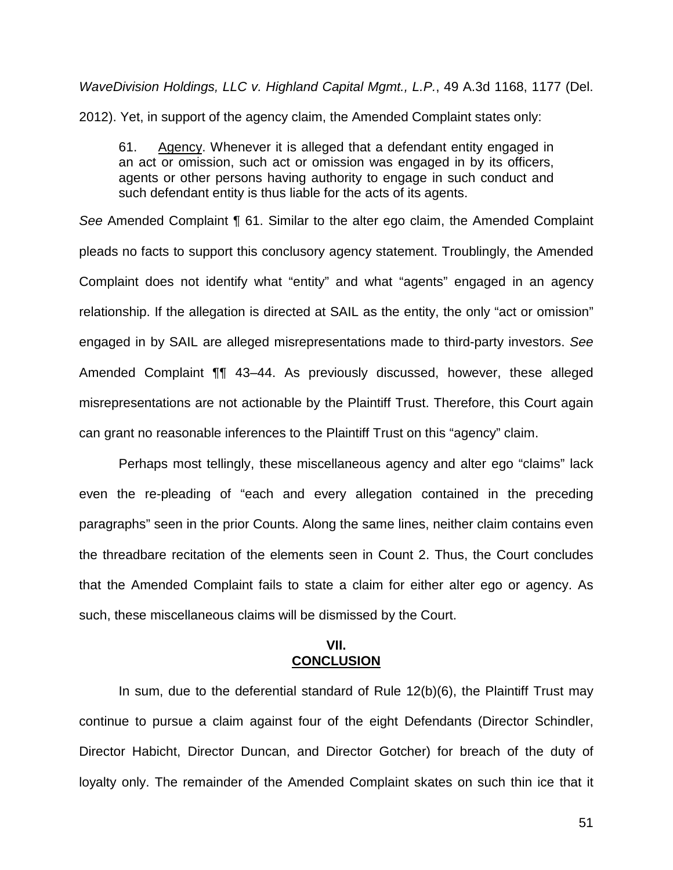*WaveDivision Holdings, LLC v. Highland Capital Mgmt., L.P.*, 49 A.3d 1168, 1177 (Del.

2012). Yet, in support of the agency claim, the Amended Complaint states only:

61. Agency. Whenever it is alleged that a defendant entity engaged in an act or omission, such act or omission was engaged in by its officers, agents or other persons having authority to engage in such conduct and such defendant entity is thus liable for the acts of its agents.

*See* Amended Complaint ¶ 61. Similar to the alter ego claim, the Amended Complaint pleads no facts to support this conclusory agency statement. Troublingly, the Amended Complaint does not identify what "entity" and what "agents" engaged in an agency relationship. If the allegation is directed at SAIL as the entity, the only "act or omission" engaged in by SAIL are alleged misrepresentations made to third-party investors. *See*  Amended Complaint ¶¶ 43–44. As previously discussed, however, these alleged misrepresentations are not actionable by the Plaintiff Trust. Therefore, this Court again can grant no reasonable inferences to the Plaintiff Trust on this "agency" claim.

Perhaps most tellingly, these miscellaneous agency and alter ego "claims" lack even the re-pleading of "each and every allegation contained in the preceding paragraphs" seen in the prior Counts. Along the same lines, neither claim contains even the threadbare recitation of the elements seen in Count 2. Thus, the Court concludes that the Amended Complaint fails to state a claim for either alter ego or agency. As such, these miscellaneous claims will be dismissed by the Court.

## **VII. CONCLUSION**

In sum, due to the deferential standard of Rule 12(b)(6), the Plaintiff Trust may continue to pursue a claim against four of the eight Defendants (Director Schindler, Director Habicht, Director Duncan, and Director Gotcher) for breach of the duty of loyalty only. The remainder of the Amended Complaint skates on such thin ice that it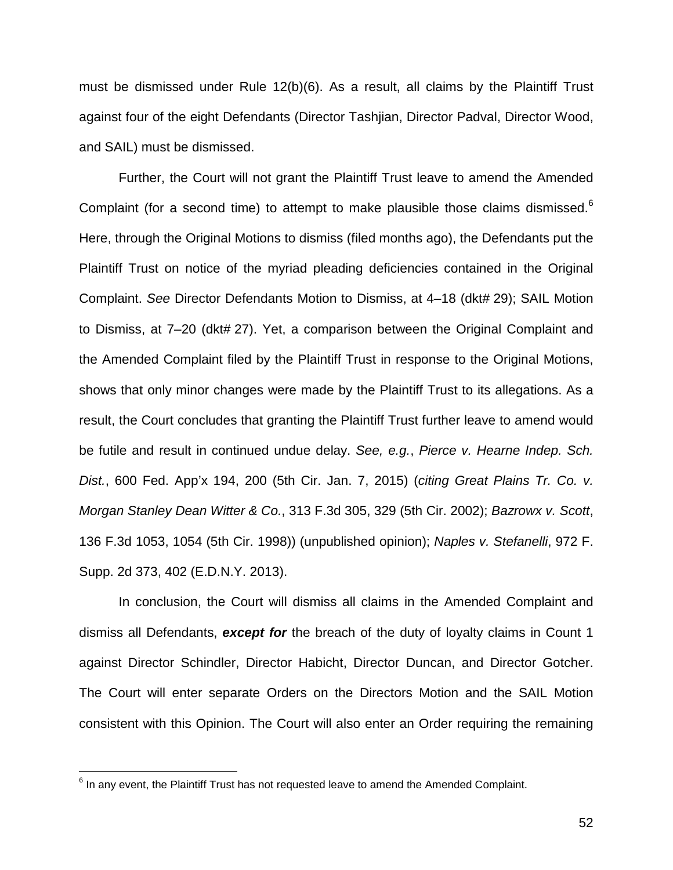must be dismissed under Rule 12(b)(6). As a result, all claims by the Plaintiff Trust against four of the eight Defendants (Director Tashjian, Director Padval, Director Wood, and SAIL) must be dismissed.

Further, the Court will not grant the Plaintiff Trust leave to amend the Amended Complaint (for a second time) to attempt to make plausible those claims dismissed.<sup>6</sup> Here, through the Original Motions to dismiss (filed months ago), the Defendants put the Plaintiff Trust on notice of the myriad pleading deficiencies contained in the Original Complaint. *See* Director Defendants Motion to Dismiss, at 4–18 (dkt# 29); SAIL Motion to Dismiss, at 7–20 (dkt# 27). Yet, a comparison between the Original Complaint and the Amended Complaint filed by the Plaintiff Trust in response to the Original Motions, shows that only minor changes were made by the Plaintiff Trust to its allegations. As a result, the Court concludes that granting the Plaintiff Trust further leave to amend would be futile and result in continued undue delay. *See, e.g.*, *Pierce v. Hearne Indep. Sch. Dist.*, 600 Fed. App'x 194, 200 (5th Cir. Jan. 7, 2015) (*citing Great Plains Tr. Co. v. Morgan Stanley Dean Witter & Co.*, 313 F.3d 305, 329 (5th Cir. 2002); *Bazrowx v. Scott*, 136 F.3d 1053, 1054 (5th Cir. 1998)) (unpublished opinion); *Naples v. Stefanelli*, 972 F. Supp. 2d 373, 402 (E.D.N.Y. 2013).

In conclusion, the Court will dismiss all claims in the Amended Complaint and dismiss all Defendants, *except for* the breach of the duty of loyalty claims in Count 1 against Director Schindler, Director Habicht, Director Duncan, and Director Gotcher. The Court will enter separate Orders on the Directors Motion and the SAIL Motion consistent with this Opinion. The Court will also enter an Order requiring the remaining

 $\overline{\phantom{a}}$ 

 $6$  In any event, the Plaintiff Trust has not requested leave to amend the Amended Complaint.